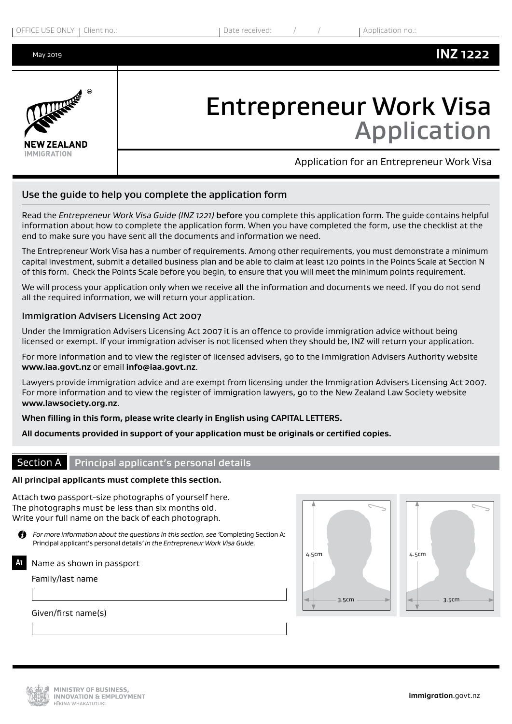May 2019



# Entrepreneur Work Visa Application

Application for an Entrepreneur Work Visa

## Use the guide to help you complete the application form

Read the *Entrepreneur Work Visa Guide (INZ 1221)* before you complete this application form. The guide contains helpful information about how to complete the application form. When you have completed the form, use the checklist at the end to make sure you have sent all the documents and information we need.

The Entrepreneur Work Visa has a number of requirements. Among other requirements, you must demonstrate a minimum capital investment, submit a detailed business plan and be able to claim at least 120 points in the Points Scale at Section N of this form. Check the Points Scale before you begin, to ensure that you will meet the minimum points requirement.

We will process your application only when we receive all the information and documents we need. If you do not send all the required information, we will return your application.

#### Immigration Advisers Licensing Act 2007

Under the Immigration Advisers Licensing Act 2007 it is an offence to provide immigration advice without being licensed or exempt. If your immigration adviser is not licensed when they should be, INZ will return your application.

For more information and to view the register of licensed advisers, go to the Immigration Advisers Authority website **www.iaa.govt.nz** or email **info@iaa.govt.nz**.

Lawyers provide immigration advice and are exempt from licensing under the Immigration Advisers Licensing Act 2007. For more information and to view the register of immigration lawyers, go to the New Zealand Law Society website **www.lawsociety.org.nz**.

**When filling in this form, please write clearly in English using CAPITAL LETTERS.**

**All documents provided in support of your application must be originals or certified copies.**

## Section A Principal applicant's personal details

## **All principal applicants must complete this section.**

Attach two passport-size photographs of yourself here. The photographs must be less than six months old. Write your full name on the back of each photograph.

*For more information about the questions in this section, see '*Completing Section A: Principal applicant's personal details*' in the Entrepreneur Work Visa Guide.*

## **A1** Name as shown in passport

Family/last name

4.5cm 3.5cm





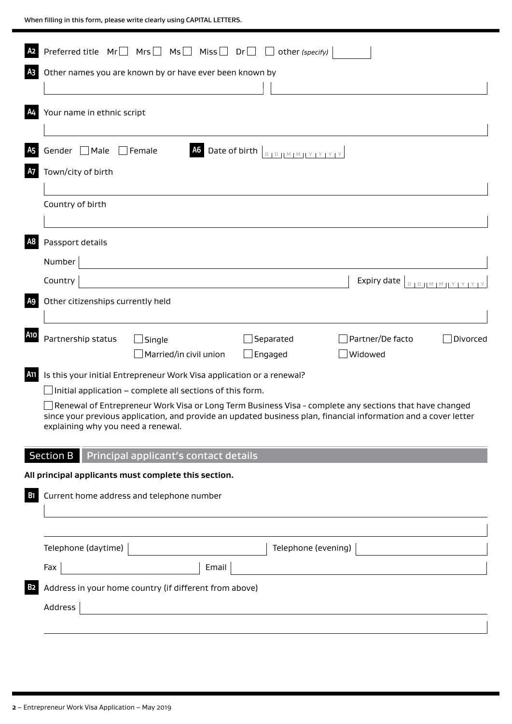| A2                   | Preferred title $Mr \Box Mrs \Box Mis \Box Nis \Box Dr \Box cther (specify)$                                                                                                                                                                                                                                                 |
|----------------------|------------------------------------------------------------------------------------------------------------------------------------------------------------------------------------------------------------------------------------------------------------------------------------------------------------------------------|
| A <sub>3</sub>       | Other names you are known by or have ever been known by                                                                                                                                                                                                                                                                      |
| A4                   | Your name in ethnic script                                                                                                                                                                                                                                                                                                   |
| A <sub>5</sub><br>A7 | Gender □ Male<br>Date of birth<br>$\Box$ Female<br><b>A6</b><br>$D \mid D \mid M \mid M \mid Y \mid Y \mid Y \mid Y$<br>Town/city of birth                                                                                                                                                                                   |
|                      | Country of birth                                                                                                                                                                                                                                                                                                             |
| A <sub>8</sub>       | Passport details<br>Number                                                                                                                                                                                                                                                                                                   |
|                      | Country<br>Expiry date $\left\lfloor \frac{D}{D} \right\rfloor \left\lfloor \frac{M}{M} \right\rfloor \left\lfloor \frac{Y}{Y} \right\rfloor \left\lfloor \frac{Y}{Y} \right\rfloor$                                                                                                                                         |
| A <sub>9</sub>       | Other citizenships currently held                                                                                                                                                                                                                                                                                            |
| <b>A10</b>           | Partnership status<br>Separated<br>Partner/De facto<br>Divorced<br>Single<br>Married/in civil union<br>Widowed<br>Engaged                                                                                                                                                                                                    |
| A11                  | Is this your initial Entrepreneur Work Visa application or a renewal?                                                                                                                                                                                                                                                        |
|                      | Initial application - complete all sections of this form.<br>Renewal of Entrepreneur Work Visa or Long Term Business Visa - complete any sections that have changed<br>since your previous application, and provide an updated business plan, financial information and a cover letter<br>explaining why you need a renewal. |
|                      | Section B<br>Principal applicant's contact details                                                                                                                                                                                                                                                                           |
| B <sub>1</sub>       | All principal applicants must complete this section.<br>Current home address and telephone number                                                                                                                                                                                                                            |
|                      | Telephone (daytime)<br>Telephone (evening)                                                                                                                                                                                                                                                                                   |
|                      | Email<br>Fax                                                                                                                                                                                                                                                                                                                 |
| <b>B2</b>            | Address in your home country (if different from above)<br>Address                                                                                                                                                                                                                                                            |
|                      |                                                                                                                                                                                                                                                                                                                              |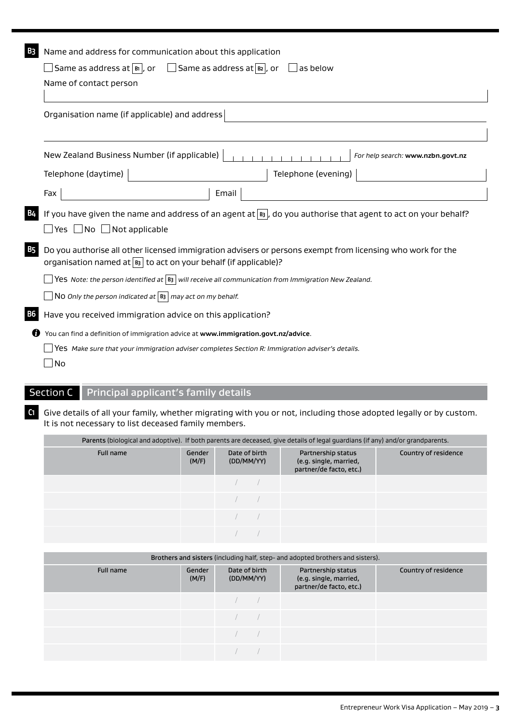| B3 | Name and address for communication about this application                                                                                                                          |
|----|------------------------------------------------------------------------------------------------------------------------------------------------------------------------------------|
|    | Same as address at $\overline{\mathbb{B}}$ , or<br>$\Box$ Same as address at $\boxed{B2}$ , or<br>as below                                                                         |
|    | Name of contact person                                                                                                                                                             |
|    | Organisation name (if applicable) and address                                                                                                                                      |
|    | New Zealand Business Number (if applicable)<br>For help search: www.nzbn.govt.nz                                                                                                   |
|    | Telephone (daytime)<br>Telephone (evening)                                                                                                                                         |
|    | Fax<br>Email                                                                                                                                                                       |
|    | If you have given the name and address of an agent at $\overline{B_3}$ , do you authorise that agent to act on your behalf?<br>$\Box$ Yes $\Box$ No $\Box$ Not applicable          |
| B5 | Do you authorise all other licensed immigration advisers or persons exempt from licensing who work for the<br>organisation named at $ B_3 $ to act on your behalf (if applicable)? |
|    | $\sqrt{\text{Yes Note:}}$ the person identified at $\ket{B_3}$ will receive all communication from Immigration New Zealand.                                                        |
|    | $\Box$ N0 Only the person indicated at $ $ B3 $ $ may act on my behalf.                                                                                                            |
| В6 | Have you received immigration advice on this application?                                                                                                                          |
|    | You can find a definition of immigration advice at www.immigration.govt.nz/advice.                                                                                                 |
|    | Yes Make sure that your immigration adviser completes Section R: Immigration adviser's details.                                                                                    |
|    | No                                                                                                                                                                                 |

# Section C Principal applicant's family details

**C1** Give details of all your family, whether migrating with you or not, including those adopted legally or by custom. It is not necessary to list deceased family members.

|           | Parents (biological and adoptive). If both parents are deceased, give details of legal guardians (if any) and/or grandparents. |                             |  |                                                                         |                      |  |  |  |  |  |  |
|-----------|--------------------------------------------------------------------------------------------------------------------------------|-----------------------------|--|-------------------------------------------------------------------------|----------------------|--|--|--|--|--|--|
| Full name | Gender<br>(M/F)                                                                                                                | Date of birth<br>(DD/MM/YY) |  | Partnership status<br>(e.g. single, married,<br>partner/de facto, etc.) | Country of residence |  |  |  |  |  |  |
|           |                                                                                                                                |                             |  |                                                                         |                      |  |  |  |  |  |  |
|           |                                                                                                                                |                             |  |                                                                         |                      |  |  |  |  |  |  |
|           |                                                                                                                                |                             |  |                                                                         |                      |  |  |  |  |  |  |
|           |                                                                                                                                |                             |  |                                                                         |                      |  |  |  |  |  |  |

| Brothers and sisters (including half, step- and adopted brothers and sisters). |                 |                             |                                                                         |                      |  |  |  |  |  |  |
|--------------------------------------------------------------------------------|-----------------|-----------------------------|-------------------------------------------------------------------------|----------------------|--|--|--|--|--|--|
| Full name                                                                      | Gender<br>(M/F) | Date of birth<br>(DD/MM/YY) | Partnership status<br>(e.g. single, married,<br>partner/de facto, etc.) | Country of residence |  |  |  |  |  |  |
|                                                                                |                 |                             |                                                                         |                      |  |  |  |  |  |  |
|                                                                                |                 |                             |                                                                         |                      |  |  |  |  |  |  |
|                                                                                |                 |                             |                                                                         |                      |  |  |  |  |  |  |
|                                                                                |                 |                             |                                                                         |                      |  |  |  |  |  |  |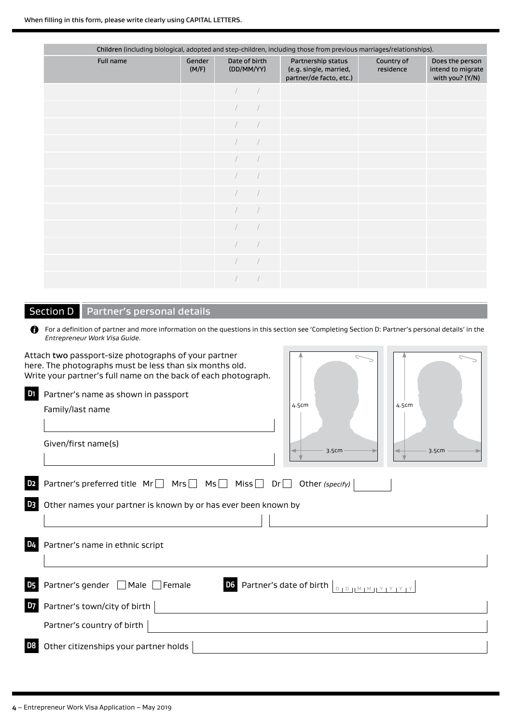|           | Children (including biological, adopted and step-children, including those from previous marriages/relationships). |  |                             |                                                                         |                         |                                                         |  |  |  |  |  |
|-----------|--------------------------------------------------------------------------------------------------------------------|--|-----------------------------|-------------------------------------------------------------------------|-------------------------|---------------------------------------------------------|--|--|--|--|--|
| Full name | Gender<br>(M/F)                                                                                                    |  | Date of birth<br>(DD/MM/YY) | Partnership status<br>(e.g. single, married,<br>partner/de facto, etc.) | Country of<br>residence | Does the person<br>intend to migrate<br>with you? (Y/N) |  |  |  |  |  |
|           |                                                                                                                    |  |                             |                                                                         |                         |                                                         |  |  |  |  |  |
|           |                                                                                                                    |  |                             |                                                                         |                         |                                                         |  |  |  |  |  |
|           |                                                                                                                    |  |                             |                                                                         |                         |                                                         |  |  |  |  |  |
|           |                                                                                                                    |  |                             |                                                                         |                         |                                                         |  |  |  |  |  |
|           |                                                                                                                    |  |                             |                                                                         |                         |                                                         |  |  |  |  |  |
|           |                                                                                                                    |  |                             |                                                                         |                         |                                                         |  |  |  |  |  |
|           |                                                                                                                    |  |                             |                                                                         |                         |                                                         |  |  |  |  |  |
|           |                                                                                                                    |  |                             |                                                                         |                         |                                                         |  |  |  |  |  |
|           |                                                                                                                    |  |                             |                                                                         |                         |                                                         |  |  |  |  |  |
|           |                                                                                                                    |  |                             |                                                                         |                         |                                                         |  |  |  |  |  |
|           |                                                                                                                    |  |                             |                                                                         |                         |                                                         |  |  |  |  |  |
|           |                                                                                                                    |  |                             |                                                                         |                         |                                                         |  |  |  |  |  |

# Section D | Partner's personal details

| <b>f</b> For a definition of partner and more information on the questions in this section see 'Completing Section D: Partner's personal details' in the<br>Entrepreneur Work Visa Guide. |  |  |
|-------------------------------------------------------------------------------------------------------------------------------------------------------------------------------------------|--|--|
| Attach two passport-size photographs of vour partner.                                                                                                                                     |  |  |

| here. The photographs must be less than six months old.<br>Write your partner's full name on the back of each photograph.                                                   |       |
|-----------------------------------------------------------------------------------------------------------------------------------------------------------------------------|-------|
| D <sub>1</sub><br>Partner's name as shown in passport<br>4.5cm<br>4.5cm<br>Family/last name                                                                                 |       |
| Given/first name(s)<br>3.5cm                                                                                                                                                | 3.5cm |
| Partner's preferred title $Mr \Box Mrs \Box Mis \Box Nis \Box Dr \Box Other (specific)$<br>D <sub>2</sub>                                                                   |       |
| D3<br>Other names your partner is known by or has ever been known by                                                                                                        |       |
| D4<br>Partner's name in ethnic script                                                                                                                                       |       |
| Partner's gender □ Male □ Female<br>D6 Partner's date of birth<br>D5<br>$D \parallel D \parallel M \parallel M \parallel Y \parallel Y \parallel Y \parallel Y \parallel Y$ |       |
| D7<br>Partner's town/city of birth                                                                                                                                          |       |
| Partner's country of birth                                                                                                                                                  |       |
| D <sub>8</sub><br>Other citizenships your partner holds                                                                                                                     |       |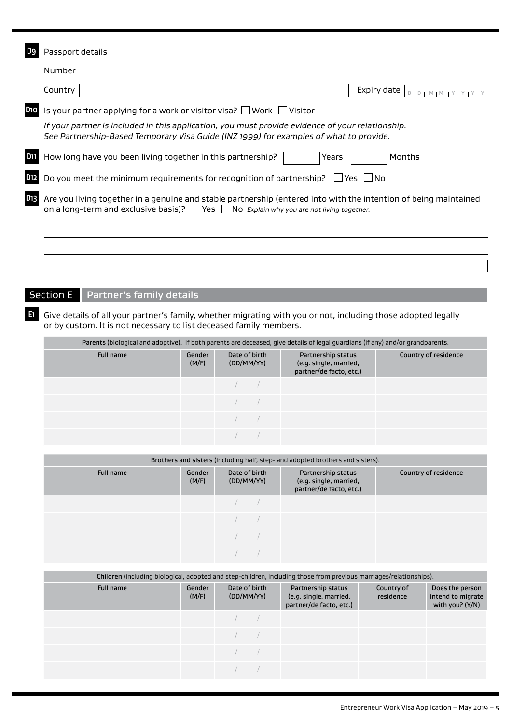|                 | Passport details                                                                                                                                                                                                       |
|-----------------|------------------------------------------------------------------------------------------------------------------------------------------------------------------------------------------------------------------------|
|                 | Number                                                                                                                                                                                                                 |
|                 | Country<br>Expiry date                                                                                                                                                                                                 |
| D <sub>10</sub> | Is your partner applying for a work or visitor visa? $\Box$ Work $\Box$ Visitor                                                                                                                                        |
|                 | If your partner is included in this application, you must provide evidence of your relationship.<br>See Partnership-Based Temporary Visa Guide (INZ 1999) for examples of what to provide.                             |
| D11             | How long have you been living together in this partnership?<br>Years<br>Months                                                                                                                                         |
| D <sub>12</sub> | Do you meet the minimum requirements for recognition of partnership?<br>– I No<br>Yes l                                                                                                                                |
| D <sub>13</sub> | Are you living together in a genuine and stable partnership (entered into with the intention of being maintained<br>on a long-term and exclusive basis)? $\Box$ Yes $\Box$ No Explain why you are not living together. |
|                 |                                                                                                                                                                                                                        |

# Section E Partner's family details

**E1** Give details of all your partner's family, whether migrating with you or not, including those adopted legally or by custom. It is not necessary to list deceased family members.

|           | Parents (biological and adoptive). If both parents are deceased, give details of legal guardians (if any) and/or grandparents. |                             |  |                                                                         |                      |  |  |  |  |  |  |
|-----------|--------------------------------------------------------------------------------------------------------------------------------|-----------------------------|--|-------------------------------------------------------------------------|----------------------|--|--|--|--|--|--|
| Full name | Gender<br>(M/F)                                                                                                                | Date of birth<br>(DD/MM/YY) |  | Partnership status<br>(e.g. single, married,<br>partner/de facto, etc.) | Country of residence |  |  |  |  |  |  |
|           |                                                                                                                                |                             |  |                                                                         |                      |  |  |  |  |  |  |
|           |                                                                                                                                |                             |  |                                                                         |                      |  |  |  |  |  |  |
|           |                                                                                                                                |                             |  |                                                                         |                      |  |  |  |  |  |  |
|           |                                                                                                                                |                             |  |                                                                         |                      |  |  |  |  |  |  |

| Brothers and sisters (including half, step- and adopted brothers and sisters). |                 |                             |                                                                         |                      |  |  |  |  |  |  |  |
|--------------------------------------------------------------------------------|-----------------|-----------------------------|-------------------------------------------------------------------------|----------------------|--|--|--|--|--|--|--|
| Full name                                                                      | Gender<br>(M/F) | Date of birth<br>(DD/MM/YY) | Partnership status<br>(e.g. single, married,<br>partner/de facto, etc.) | Country of residence |  |  |  |  |  |  |  |
|                                                                                |                 |                             |                                                                         |                      |  |  |  |  |  |  |  |
|                                                                                |                 |                             |                                                                         |                      |  |  |  |  |  |  |  |
|                                                                                |                 |                             |                                                                         |                      |  |  |  |  |  |  |  |
|                                                                                |                 |                             |                                                                         |                      |  |  |  |  |  |  |  |

|           | Children (including biological, adopted and step-children, including those from previous marriages/relationships). |                             |  |                                                                         |                         |                                                         |  |  |  |  |  |
|-----------|--------------------------------------------------------------------------------------------------------------------|-----------------------------|--|-------------------------------------------------------------------------|-------------------------|---------------------------------------------------------|--|--|--|--|--|
| Full name | Gender<br>(M/F)                                                                                                    | Date of birth<br>(DD/MM/YY) |  | Partnership status<br>(e.g. single, married,<br>partner/de facto, etc.) | Country of<br>residence | Does the person<br>intend to migrate<br>with you? (Y/N) |  |  |  |  |  |
|           |                                                                                                                    |                             |  |                                                                         |                         |                                                         |  |  |  |  |  |
|           |                                                                                                                    |                             |  |                                                                         |                         |                                                         |  |  |  |  |  |
|           |                                                                                                                    |                             |  |                                                                         |                         |                                                         |  |  |  |  |  |
|           |                                                                                                                    |                             |  |                                                                         |                         |                                                         |  |  |  |  |  |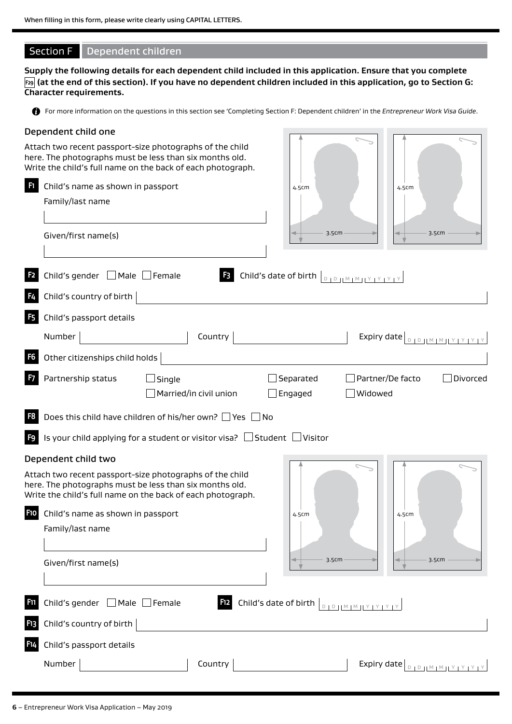## Section F Dependent children

**Supply the following details for each dependent child included in this application. Ensure that you complete F29 (at the end of this section). If you have no dependent children included in this application, go to Section G: Character requirements.**

For more information on the questions in this section see 'Completing Section F: Dependent children' in the *Entrepreneur Work Visa Guide*.

#### Dependent child one

Attach two recent passport-size photographs of the child here. The photographs must be less than six months old. Write the child's full name on the back of each photograph.

|                 |                                          | Write the child's full name on the back of each photograph.                                                                                                                        |                                                                                                                                                                                                                                                                                                                                                                                                                                                                               |         |                                                                                                                                                                                                                                                                                                                                                                                                                      |          |
|-----------------|------------------------------------------|------------------------------------------------------------------------------------------------------------------------------------------------------------------------------------|-------------------------------------------------------------------------------------------------------------------------------------------------------------------------------------------------------------------------------------------------------------------------------------------------------------------------------------------------------------------------------------------------------------------------------------------------------------------------------|---------|----------------------------------------------------------------------------------------------------------------------------------------------------------------------------------------------------------------------------------------------------------------------------------------------------------------------------------------------------------------------------------------------------------------------|----------|
| F1              | Child's name as shown in passport        |                                                                                                                                                                                    | 4.5cm                                                                                                                                                                                                                                                                                                                                                                                                                                                                         |         | 4.5cm                                                                                                                                                                                                                                                                                                                                                                                                                |          |
|                 | Family/last name                         |                                                                                                                                                                                    |                                                                                                                                                                                                                                                                                                                                                                                                                                                                               |         |                                                                                                                                                                                                                                                                                                                                                                                                                      |          |
|                 |                                          |                                                                                                                                                                                    |                                                                                                                                                                                                                                                                                                                                                                                                                                                                               |         |                                                                                                                                                                                                                                                                                                                                                                                                                      |          |
|                 | Given/first name(s)                      |                                                                                                                                                                                    | 3.5cm                                                                                                                                                                                                                                                                                                                                                                                                                                                                         |         | 3.5cm                                                                                                                                                                                                                                                                                                                                                                                                                |          |
|                 |                                          |                                                                                                                                                                                    |                                                                                                                                                                                                                                                                                                                                                                                                                                                                               |         |                                                                                                                                                                                                                                                                                                                                                                                                                      |          |
| F <sub>2</sub>  | Child's gender $\Box$ Male $\Box$ Female | F3                                                                                                                                                                                 | Child's date of birth $\left  \begin{array}{cc} 0 & 0 \end{array} \right  \left  \begin{array}{cc} 0 & 0 \end{array} \right  \left  \begin{array}{cc} 0 & 0 \end{array} \right  \left  \begin{array}{cc} 0 & 0 \end{array} \right  \left  \begin{array}{cc} 0 & 0 \end{array} \right  \left  \begin{array}{cc} 0 & 0 \end{array} \right  \left  \begin{array}{cc} 0 & 0 \end{array} \right  \left  \begin{array}{cc} 0 & 0 \end{array} \right  \left  \begin{array}{cc} 0 & $ |         |                                                                                                                                                                                                                                                                                                                                                                                                                      |          |
|                 | Child's country of birth                 |                                                                                                                                                                                    |                                                                                                                                                                                                                                                                                                                                                                                                                                                                               |         |                                                                                                                                                                                                                                                                                                                                                                                                                      |          |
| F <sub>5</sub>  | Child's passport details                 |                                                                                                                                                                                    |                                                                                                                                                                                                                                                                                                                                                                                                                                                                               |         |                                                                                                                                                                                                                                                                                                                                                                                                                      |          |
|                 | Number                                   | Country                                                                                                                                                                            |                                                                                                                                                                                                                                                                                                                                                                                                                                                                               |         | Expiry date $\left[ \begin{array}{c} B & D \end{array} \right]$                                                                                                                                                                                                                                                                                                                                                      |          |
| F6              | Other citizenships child holds           |                                                                                                                                                                                    |                                                                                                                                                                                                                                                                                                                                                                                                                                                                               |         |                                                                                                                                                                                                                                                                                                                                                                                                                      |          |
|                 | Partnership status                       | $\Box$ Single                                                                                                                                                                      | Separated                                                                                                                                                                                                                                                                                                                                                                                                                                                                     |         | Partner/De facto                                                                                                                                                                                                                                                                                                                                                                                                     | Divorced |
|                 |                                          | Married/in civil union                                                                                                                                                             | Engaged                                                                                                                                                                                                                                                                                                                                                                                                                                                                       | Widowed |                                                                                                                                                                                                                                                                                                                                                                                                                      |          |
| F8              |                                          | Does this child have children of his/her own? $\Box$ Yes $\Box$ No                                                                                                                 |                                                                                                                                                                                                                                                                                                                                                                                                                                                                               |         |                                                                                                                                                                                                                                                                                                                                                                                                                      |          |
| F9              |                                          | Is your child applying for a student or visitor visa? $\Box$ Student $\Box$ Visitor                                                                                                |                                                                                                                                                                                                                                                                                                                                                                                                                                                                               |         |                                                                                                                                                                                                                                                                                                                                                                                                                      |          |
|                 | Dependent child two                      |                                                                                                                                                                                    |                                                                                                                                                                                                                                                                                                                                                                                                                                                                               |         |                                                                                                                                                                                                                                                                                                                                                                                                                      |          |
|                 |                                          | Attach two recent passport-size photographs of the child<br>here. The photographs must be less than six months old.<br>Write the child's full name on the back of each photograph. |                                                                                                                                                                                                                                                                                                                                                                                                                                                                               |         |                                                                                                                                                                                                                                                                                                                                                                                                                      |          |
| F <sub>10</sub> | Child's name as shown in passport        |                                                                                                                                                                                    | 4.5cm                                                                                                                                                                                                                                                                                                                                                                                                                                                                         |         | 4.5cm                                                                                                                                                                                                                                                                                                                                                                                                                |          |
|                 | Family/last name                         |                                                                                                                                                                                    |                                                                                                                                                                                                                                                                                                                                                                                                                                                                               |         |                                                                                                                                                                                                                                                                                                                                                                                                                      |          |
|                 |                                          |                                                                                                                                                                                    |                                                                                                                                                                                                                                                                                                                                                                                                                                                                               |         |                                                                                                                                                                                                                                                                                                                                                                                                                      |          |
|                 | Given/first name(s)                      |                                                                                                                                                                                    | 3.5cm                                                                                                                                                                                                                                                                                                                                                                                                                                                                         |         | 3.5cm                                                                                                                                                                                                                                                                                                                                                                                                                |          |
|                 |                                          |                                                                                                                                                                                    |                                                                                                                                                                                                                                                                                                                                                                                                                                                                               |         |                                                                                                                                                                                                                                                                                                                                                                                                                      |          |
| F <sub>11</sub> | Child's gender □ Male □ Female           | <b>F12</b>                                                                                                                                                                         | Child's date of birth $\left\lfloor \frac{D + D +  M  +  N  +  Y  +  Y }{D + D +  M  +  N  +  Y  +  Y  +  Y } \right\rfloor$                                                                                                                                                                                                                                                                                                                                                  |         |                                                                                                                                                                                                                                                                                                                                                                                                                      |          |
| F <sub>13</sub> | Child's country of birth                 |                                                                                                                                                                                    |                                                                                                                                                                                                                                                                                                                                                                                                                                                                               |         |                                                                                                                                                                                                                                                                                                                                                                                                                      |          |
| F14             | Child's passport details                 |                                                                                                                                                                                    |                                                                                                                                                                                                                                                                                                                                                                                                                                                                               |         |                                                                                                                                                                                                                                                                                                                                                                                                                      |          |
|                 | Number                                   | Country                                                                                                                                                                            |                                                                                                                                                                                                                                                                                                                                                                                                                                                                               |         | Expiry date $\left[\begin{array}{c c} 0 & 0 & \text{if } 0 & \text{if } 0 & \text{if } 0 & \text{if } 0 & \text{if } 0 & \text{if } 0 & \text{if } 0 & \text{if } 0 & \text{if } 0 & \text{if } 0 & \text{if } 0 & \text{if } 0 & \text{if } 0 & \text{if } 0 & \text{if } 0 & \text{if } 0 & \text{if } 0 & \text{if } 0 & \text{if } 0 & \text{if } 0 & \text{if } 0 & \text{if } 0 & \text{if } 0 & \text{if } 0$ |          |
|                 |                                          |                                                                                                                                                                                    |                                                                                                                                                                                                                                                                                                                                                                                                                                                                               |         |                                                                                                                                                                                                                                                                                                                                                                                                                      |          |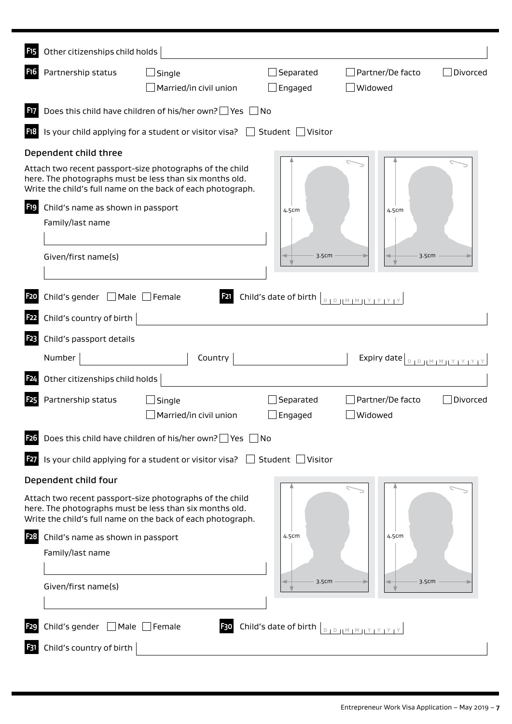| F <sub>15</sub>  | Other citizenships child holds           |                                                                                                                                                                                    |                                                                                                               |                                                                 |  |
|------------------|------------------------------------------|------------------------------------------------------------------------------------------------------------------------------------------------------------------------------------|---------------------------------------------------------------------------------------------------------------|-----------------------------------------------------------------|--|
| <b>F16</b>       | Partnership status                       | Married/in civil union                                                                                                                                                             | Separated<br>Engaged                                                                                          | Partner/De facto<br>Divorced<br>Widowed                         |  |
| <b>F17</b>       |                                          | Does this child have children of his/her own? $\Box$ Yes $\Box$ No                                                                                                                 |                                                                                                               |                                                                 |  |
| F18              |                                          | Is your child applying for a student or visitor visa? $\Box$ Student $\Box$ Visitor                                                                                                |                                                                                                               |                                                                 |  |
|                  | Dependent child three                    |                                                                                                                                                                                    |                                                                                                               |                                                                 |  |
|                  |                                          | Attach two recent passport-size photographs of the child<br>here. The photographs must be less than six months old.<br>Write the child's full name on the back of each photograph. |                                                                                                               |                                                                 |  |
| F19              | Child's name as shown in passport        |                                                                                                                                                                                    | 4.5cm                                                                                                         | 4.5cm                                                           |  |
|                  | Family/last name                         |                                                                                                                                                                                    |                                                                                                               |                                                                 |  |
|                  | Given/first name(s)                      |                                                                                                                                                                                    | 3.5cm                                                                                                         | 3.5cm                                                           |  |
| <b>F20</b>       | Child's gender $\Box$ Male $\Box$ Female | <b>F21</b>                                                                                                                                                                         | Child's date of birth $\left\lfloor \frac{p}{p+1} \right\rfloor \left\lfloor \frac{M+M+1}{p+1} \right\rfloor$ |                                                                 |  |
| F <sub>22</sub>  | Child's country of birth                 |                                                                                                                                                                                    |                                                                                                               |                                                                 |  |
| F <sub>2</sub> 3 | Child's passport details                 |                                                                                                                                                                                    |                                                                                                               |                                                                 |  |
|                  | Number                                   | Country                                                                                                                                                                            |                                                                                                               | Expiry date $\left[ \begin{array}{c} B & D \end{array} \right]$ |  |
| F <sub>24</sub>  | Other citizenships child holds           |                                                                                                                                                                                    |                                                                                                               |                                                                 |  |
| <b>F25</b>       | Partnership status                       |                                                                                                                                                                                    | Separated                                                                                                     | Partner/De facto<br>Divorced                                    |  |
|                  |                                          | Married/in civil union                                                                                                                                                             | Engaged                                                                                                       | Widowed                                                         |  |
| <b>F26</b>       |                                          | Does this child have children of his/her own? $\Box$ Yes $\Box$ No                                                                                                                 |                                                                                                               |                                                                 |  |
| <b>F27</b>       |                                          | Is your child applying for a student or visitor visa? $\Box$ Student $\Box$ Visitor                                                                                                |                                                                                                               |                                                                 |  |
|                  | Dependent child four                     |                                                                                                                                                                                    |                                                                                                               |                                                                 |  |
|                  |                                          | Attach two recent passport-size photographs of the child<br>here. The photographs must be less than six months old.<br>Write the child's full name on the back of each photograph. |                                                                                                               |                                                                 |  |
| <b>F28</b>       | Child's name as shown in passport        |                                                                                                                                                                                    | 4.5cm                                                                                                         | 4.5cm                                                           |  |
|                  | Family/last name                         |                                                                                                                                                                                    |                                                                                                               |                                                                 |  |
|                  | Given/first name(s)                      |                                                                                                                                                                                    | 3.5cm                                                                                                         | 3.5cm                                                           |  |
| F <sub>29</sub>  | Child's gender $\Box$ Male $\Box$ Female | F30                                                                                                                                                                                | Child's date of birth $\left  \begin{array}{cc} 0 & 0 \end{array} \right $                                    |                                                                 |  |
| F31              | Child's country of birth                 |                                                                                                                                                                                    |                                                                                                               |                                                                 |  |
|                  |                                          |                                                                                                                                                                                    |                                                                                                               |                                                                 |  |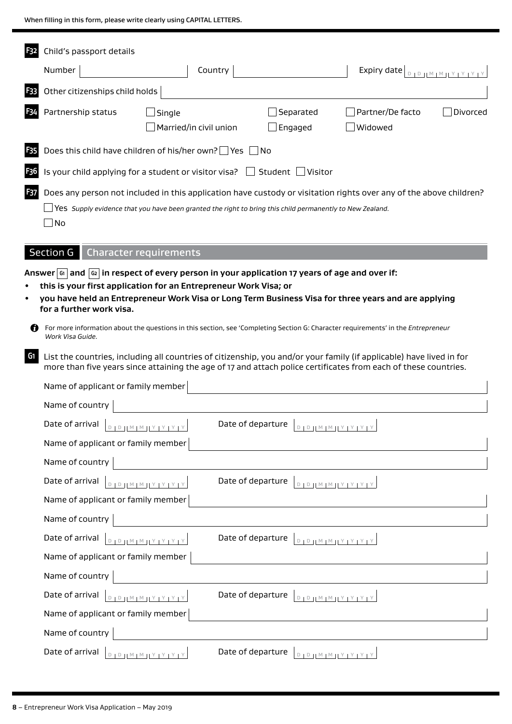When filling in this form, please write clearly using CAPITAL LETTERS.

 $\blacksquare$ 

|                 | Child's passport details                     |                                                                                                                                                                                                                                                                                                                                                                                                                             |                      |                                             |          |
|-----------------|----------------------------------------------|-----------------------------------------------------------------------------------------------------------------------------------------------------------------------------------------------------------------------------------------------------------------------------------------------------------------------------------------------------------------------------------------------------------------------------|----------------------|---------------------------------------------|----------|
|                 | Number                                       | Country                                                                                                                                                                                                                                                                                                                                                                                                                     |                      | Expiry date $ _{D+D+ \underline{M+M+Y+Y} }$ |          |
| F33             | Other citizenships child holds               |                                                                                                                                                                                                                                                                                                                                                                                                                             |                      |                                             |          |
|                 | Partnership status                           | Married/in civil union                                                                                                                                                                                                                                                                                                                                                                                                      | Separated<br>Engaged | Partner/De facto<br>Widowed                 | Divorced |
| F <sub>35</sub> |                                              | Does this child have children of his/her own? $\Box$ Yes $\Box$ No                                                                                                                                                                                                                                                                                                                                                          |                      |                                             |          |
| F36             |                                              | Is your child applying for a student or visitor visa? $\Box$                                                                                                                                                                                                                                                                                                                                                                | Student   Visitor    |                                             |          |
| F37             | No                                           | Does any person not included in this application have custody or visitation rights over any of the above children?<br>Yes Supply evidence that you have been granted the right to bring this child permanently to New Zealand.                                                                                                                                                                                              |                      |                                             |          |
|                 | <b>Section G</b>                             | <b>Character requirements</b>                                                                                                                                                                                                                                                                                                                                                                                               |                      |                                             |          |
| n               | for a further work visa.<br>Work Visa Guide. | Answer $ \omega $ and $ \omega $ in respect of every person in your application 17 years of age and over if:<br>this is your first application for an Entrepreneur Work Visa; or<br>you have held an Entrepreneur Work Visa or Long Term Business Visa for three years and are applying<br>For more information about the questions in this section, see 'Completing Section G: Character requirements' in the Entrepreneur |                      |                                             |          |
| G <sub>1</sub>  |                                              | List the countries, including all countries of citizenship, you and/or your family (if applicable) have lived in for<br>more than five years since attaining the age of 17 and attach police certificates from each of these countries.                                                                                                                                                                                     |                      |                                             |          |
|                 | Name of applicant or family member           |                                                                                                                                                                                                                                                                                                                                                                                                                             |                      |                                             |          |
|                 | Name of country                              |                                                                                                                                                                                                                                                                                                                                                                                                                             |                      |                                             |          |
|                 | Date of arrival                              |                                                                                                                                                                                                                                                                                                                                                                                                                             | Date of departure    | $D + D + M + M + Y + Y + Y + Y$             |          |
|                 | Name of applicant or family member           |                                                                                                                                                                                                                                                                                                                                                                                                                             |                      |                                             |          |
|                 | Name of country                              |                                                                                                                                                                                                                                                                                                                                                                                                                             |                      |                                             |          |
|                 | Date of arrival                              | $D + D + H \leq M + M + Y + Y + Y$                                                                                                                                                                                                                                                                                                                                                                                          | Date of departure    | $D + D + M + M + Y + Y + Y + Y$             |          |
|                 | Name of applicant or family member           |                                                                                                                                                                                                                                                                                                                                                                                                                             |                      |                                             |          |
|                 | Name of country                              |                                                                                                                                                                                                                                                                                                                                                                                                                             |                      |                                             |          |
|                 | Date of arrival                              | $D + D + H \times H \times H \times H \times H \times H$                                                                                                                                                                                                                                                                                                                                                                    | Date of departure    | $D + D + M + M + Y + Y + Y + Y$             |          |
|                 | Name of applicant or family member           |                                                                                                                                                                                                                                                                                                                                                                                                                             |                      |                                             |          |
|                 | Name of country                              |                                                                                                                                                                                                                                                                                                                                                                                                                             |                      |                                             |          |
|                 | Date of arrival                              | $D + D + H \otimes H \otimes H \otimes H \otimes H \otimes H \otimes H \otimes H$                                                                                                                                                                                                                                                                                                                                           | Date of departure    | $D D D M M N Y Y Y Y$                       |          |
|                 | Name of applicant or family member           |                                                                                                                                                                                                                                                                                                                                                                                                                             |                      |                                             |          |
|                 | Name of country                              |                                                                                                                                                                                                                                                                                                                                                                                                                             |                      |                                             |          |
|                 | Date of arrival                              | $D + D + M + M + Y + Y + Y + Y$                                                                                                                                                                                                                                                                                                                                                                                             | Date of departure    | $D D D M M N Y Y Y Y$                       |          |

÷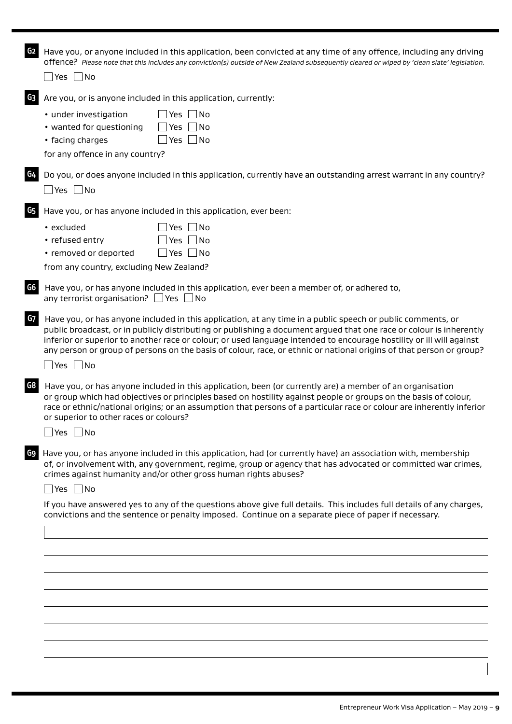| G <sub>2</sub> | Have you, or anyone included in this application, been convicted at any time of any offence, including any driving<br>offence? Please note that this includes any conviction(s) outside of New Zealand subsequently cleared or wiped by 'clean slate' legislation.<br>$\Box$ Yes $\Box$ No                                                                                                                                                                                                                |
|----------------|-----------------------------------------------------------------------------------------------------------------------------------------------------------------------------------------------------------------------------------------------------------------------------------------------------------------------------------------------------------------------------------------------------------------------------------------------------------------------------------------------------------|
|                |                                                                                                                                                                                                                                                                                                                                                                                                                                                                                                           |
| G <sub>3</sub> | Are you, or is anyone included in this application, currently:                                                                                                                                                                                                                                                                                                                                                                                                                                            |
|                | $\vert$ Yes $\vert$ No<br>• under investigation                                                                                                                                                                                                                                                                                                                                                                                                                                                           |
|                | • wanted for questioning<br>Yes<br>- INo                                                                                                                                                                                                                                                                                                                                                                                                                                                                  |
|                | • facing charges<br>Yes No                                                                                                                                                                                                                                                                                                                                                                                                                                                                                |
|                | for any offence in any country?                                                                                                                                                                                                                                                                                                                                                                                                                                                                           |
| G4             | Do you, or does anyone included in this application, currently have an outstanding arrest warrant in any country?                                                                                                                                                                                                                                                                                                                                                                                         |
|                | $\Box$ Yes $\Box$ No                                                                                                                                                                                                                                                                                                                                                                                                                                                                                      |
|                |                                                                                                                                                                                                                                                                                                                                                                                                                                                                                                           |
| G5             | Have you, or has anyone included in this application, ever been:                                                                                                                                                                                                                                                                                                                                                                                                                                          |
|                | $\exists$ Yes $\Box$ No<br>• excluded                                                                                                                                                                                                                                                                                                                                                                                                                                                                     |
|                | Yes $\Box$ No<br>• refused entry                                                                                                                                                                                                                                                                                                                                                                                                                                                                          |
|                | • removed or deported<br>$\vert$ Yes $\vert$ No                                                                                                                                                                                                                                                                                                                                                                                                                                                           |
|                | from any country, excluding New Zealand?                                                                                                                                                                                                                                                                                                                                                                                                                                                                  |
| G6             | Have you, or has anyone included in this application, ever been a member of, or adhered to,<br>any terrorist organisation? $\Box$ Yes $\Box$ No                                                                                                                                                                                                                                                                                                                                                           |
| G7             | Have you, or has anyone included in this application, at any time in a public speech or public comments, or<br>public broadcast, or in publicly distributing or publishing a document argued that one race or colour is inherently<br>inferior or superior to another race or colour; or used language intended to encourage hostility or ill will against<br>any person or group of persons on the basis of colour, race, or ethnic or national origins of that person or group?<br>$\Box$ Yes $\Box$ No |
| G8             | Have you, or has anyone included in this application, been (or currently are) a member of an organisation<br>or group which had objectives or principles based on hostility against people or groups on the basis of colour,<br>race or ethnic/national origins; or an assumption that persons of a particular race or colour are inherently inferior<br>or superior to other races or colours?                                                                                                           |
|                | □ Yes □ No                                                                                                                                                                                                                                                                                                                                                                                                                                                                                                |
| G9             | Have you, or has anyone included in this application, had (or currently have) an association with, membership<br>of, or involvement with, any government, regime, group or agency that has advocated or committed war crimes,<br>crimes against humanity and/or other gross human rights abuses?<br>$\Box$ Yes $\Box$ No                                                                                                                                                                                  |
|                | If you have answered yes to any of the questions above give full details. This includes full details of any charges,                                                                                                                                                                                                                                                                                                                                                                                      |
|                | convictions and the sentence or penalty imposed. Continue on a separate piece of paper if necessary.                                                                                                                                                                                                                                                                                                                                                                                                      |
|                |                                                                                                                                                                                                                                                                                                                                                                                                                                                                                                           |
|                |                                                                                                                                                                                                                                                                                                                                                                                                                                                                                                           |
|                |                                                                                                                                                                                                                                                                                                                                                                                                                                                                                                           |
|                |                                                                                                                                                                                                                                                                                                                                                                                                                                                                                                           |
|                |                                                                                                                                                                                                                                                                                                                                                                                                                                                                                                           |
|                |                                                                                                                                                                                                                                                                                                                                                                                                                                                                                                           |
|                |                                                                                                                                                                                                                                                                                                                                                                                                                                                                                                           |
|                |                                                                                                                                                                                                                                                                                                                                                                                                                                                                                                           |
|                |                                                                                                                                                                                                                                                                                                                                                                                                                                                                                                           |
|                |                                                                                                                                                                                                                                                                                                                                                                                                                                                                                                           |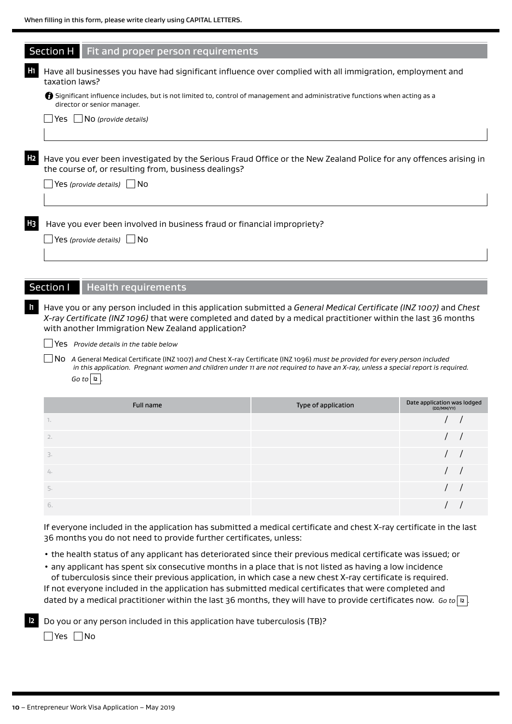|                | Section H   Fit and proper person requirements                                                                                                                                                               |
|----------------|--------------------------------------------------------------------------------------------------------------------------------------------------------------------------------------------------------------|
| H <sub>1</sub> | Have all businesses you have had significant influence over complied with all immigration, employment and<br>taxation laws?                                                                                  |
|                | Significant influence includes, but is not limited to, control of management and administrative functions when acting as a<br>director or senior manager.                                                    |
|                | Yes $\Box$ No (provide details)                                                                                                                                                                              |
|                |                                                                                                                                                                                                              |
| H <sub>2</sub> | Have you ever been investigated by the Serious Fraud Office or the New Zealand Police for any offences arising in<br>the course of, or resulting from, business dealings?<br>Yes (provide details) $\Box$ No |
|                |                                                                                                                                                                                                              |
| H <sub>3</sub> | Have you ever been involved in business fraud or financial impropriety?<br>$\Box$ Yes (provide details) $\Box$ No                                                                                            |
|                |                                                                                                                                                                                                              |
|                |                                                                                                                                                                                                              |
|                | Section I<br><b>Health requirements</b>                                                                                                                                                                      |

**I1** Have you or any person included in this application submitted a *General Medical Certificate (INZ 1007)* and *Chest X-ray Certificate (INZ 1096)* that were completed and dated by a medical practitioner within the last 36 months with another Immigration New Zealand application?

Yes *Provide details in the table below*

No *A* General Medical Certificate (INZ 1007) *and* Chest X-ray Certificate (INZ 1096) *must be provided for every person included in this application. Pregnant women and children under 11 are not required to have an X-ray, unless a special report is required.*   $Go$  to  $|12|$ .

|              | Full name | Type of application | Date application was lodged<br>(DD/MM/YY) |  |
|--------------|-----------|---------------------|-------------------------------------------|--|
| $\mathbb{R}$ |           |                     |                                           |  |
| 2.           |           |                     |                                           |  |
| 3.           |           |                     |                                           |  |
| 4.           |           |                     |                                           |  |
| 5.           |           |                     |                                           |  |
| 6.           |           |                     |                                           |  |

If everyone included in the application has submitted a medical certificate and chest X-ray certificate in the last 36 months you do not need to provide further certificates, unless:

• the health status of any applicant has deteriorated since their previous medical certificate was issued; or

• any applicant has spent six consecutive months in a place that is not listed as having a low incidence of tuberculosis since their previous application, in which case a new chest X-ray certificate is required.

If not everyone included in the application has submitted medical certificates that were completed and dated by a medical practitioner within the last 36 months, they will have to provide certificates now. *Go to* **I2** *.*

**I2** Do you or any person included in this application have tuberculosis (TB)?

 $\Box$ Yes  $\Box$ No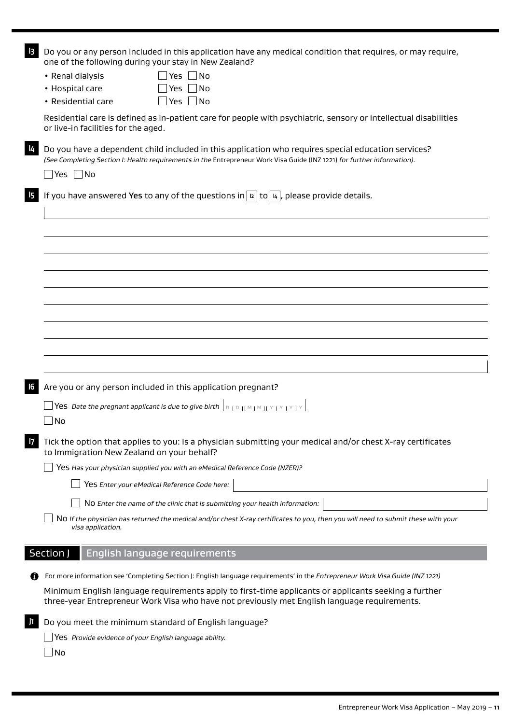|                                            | Do you or any person included in this application have any medical condition that requires, or may require,<br>one of the following during your stay in New Zealand?                                                           |
|--------------------------------------------|--------------------------------------------------------------------------------------------------------------------------------------------------------------------------------------------------------------------------------|
| • Renal dialysis                           | Yes No                                                                                                                                                                                                                         |
| • Hospital care                            | Yes $ $ $ $ No                                                                                                                                                                                                                 |
| • Residential care                         | Yes ∏ No                                                                                                                                                                                                                       |
| or live-in facilities for the aged.        | Residential care is defined as in-patient care for people with psychiatric, sensory or intellectual disabilities                                                                                                               |
|                                            | Do you have a dependent child included in this application who requires special education services?<br>(See Completing Section I: Health requirements in the Entrepreneur Work Visa Guide (INZ 1221) for further information). |
| $\Box$ Yes $\Box$ No                       |                                                                                                                                                                                                                                |
|                                            | If you have answered Yes to any of the questions in $ a $ to $ a $ , please provide details.                                                                                                                                   |
|                                            |                                                                                                                                                                                                                                |
|                                            |                                                                                                                                                                                                                                |
|                                            |                                                                                                                                                                                                                                |
|                                            |                                                                                                                                                                                                                                |
|                                            |                                                                                                                                                                                                                                |
|                                            |                                                                                                                                                                                                                                |
|                                            |                                                                                                                                                                                                                                |
|                                            |                                                                                                                                                                                                                                |
|                                            |                                                                                                                                                                                                                                |
|                                            | Are you or any person included in this application pregnant?                                                                                                                                                                   |
|                                            |                                                                                                                                                                                                                                |
|                                            |                                                                                                                                                                                                                                |
| No                                         |                                                                                                                                                                                                                                |
| to Immigration New Zealand on your behalf? | Tick the option that applies to you: Is a physician submitting your medical and/or chest X-ray certificates                                                                                                                    |
|                                            | Yes Has your physician supplied you with an eMedical Reference Code (NZER)?                                                                                                                                                    |
|                                            | Yes Enter your eMedical Reference Code here:                                                                                                                                                                                   |
|                                            | NO Enter the name of the clinic that is submitting your health information:                                                                                                                                                    |
| visa application.                          | NO If the physician has returned the medical and/or chest X-ray certificates to you, then you will need to submit these with your                                                                                              |
|                                            | English language requirements                                                                                                                                                                                                  |
|                                            | For more information see 'Completing Section J: English language requirements' in the Entrepreneur Work Visa Guide (INZ 1221)                                                                                                  |
|                                            | Minimum English language requirements apply to first-time applicants or applicants seeking a further<br>three-year Entrepreneur Work Visa who have not previously met English language requirements.                           |
| Section J                                  | Do you meet the minimum standard of English language?                                                                                                                                                                          |
|                                            | $\Box$ Yes Provide evidence of your English language ability.                                                                                                                                                                  |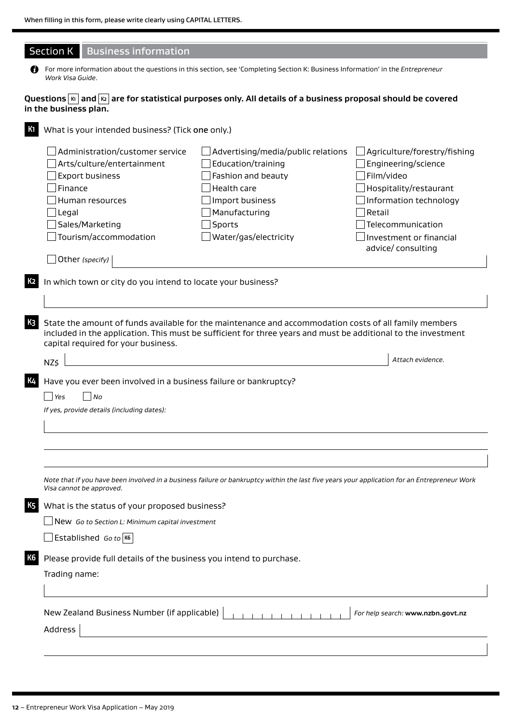| For more information about the questions in this section, see 'Completing Section K: Business Information' in the Entrepreneur<br>Work Visa Guide.<br>Questions $ \kappa $ and $ \kappa $ are for statistical purposes only. All details of a business proposal should be covered<br>in the business plan.<br>K1<br>What is your intended business? (Tick one only.)<br>Administration/customer service<br>Advertising/media/public relations<br>$\Box$ Agriculture/forestry/fishing<br>Arts/culture/entertainment<br>Education/training<br>Engineering/science<br>Film/video<br><b>Export business</b><br>Fashion and beauty<br>Finance<br>Health care<br>Hospitality/restaurant<br>Human resources<br>Import business<br>Information technology<br>Manufacturing<br>Retail<br>$\mathbin{\rule[0pt]{0.4pt}{0.5pt}}$ Legal<br>Sales/Marketing<br>Sports<br>Telecommunication<br>Tourism/accommodation<br>Water/gas/electricity<br>Investment or financial<br>advice/ consulting<br>Other (specify)<br>K <sub>2</sub><br>In which town or city do you intend to locate your business?<br>K <sub>3</sub><br>State the amount of funds available for the maintenance and accommodation costs of all family members<br>included in the application. This must be sufficient for three years and must be additional to the investment<br>capital required for your business.<br>Attach evidence.<br>NZ\$<br><b>K4</b><br>Have you ever been involved in a business failure or bankruptcy?<br>Yes<br>No<br>If yes, provide details (including dates):<br>Note that if you have been involved in a business failure or bankruptcy within the last five years your application for an Entrepreneur Work<br>Visa cannot be approved.<br><b>K5</b><br>What is the status of your proposed business?<br>New Go to Section L: Minimum capital investment<br>Established Go to K6<br>K6<br>Please provide full details of the business you intend to purchase.<br>Trading name:<br>New Zealand Business Number (if applicable)<br>For help search: www.nzbn.govt.nz<br>Address | <b>Section K</b> | <b>Business information</b> |  |
|-------------------------------------------------------------------------------------------------------------------------------------------------------------------------------------------------------------------------------------------------------------------------------------------------------------------------------------------------------------------------------------------------------------------------------------------------------------------------------------------------------------------------------------------------------------------------------------------------------------------------------------------------------------------------------------------------------------------------------------------------------------------------------------------------------------------------------------------------------------------------------------------------------------------------------------------------------------------------------------------------------------------------------------------------------------------------------------------------------------------------------------------------------------------------------------------------------------------------------------------------------------------------------------------------------------------------------------------------------------------------------------------------------------------------------------------------------------------------------------------------------------------------------------------------------------------------------------------------------------------------------------------------------------------------------------------------------------------------------------------------------------------------------------------------------------------------------------------------------------------------------------------------------------------------------------------------------------------------------------------------------------------------------------------------------------------|------------------|-----------------------------|--|
|                                                                                                                                                                                                                                                                                                                                                                                                                                                                                                                                                                                                                                                                                                                                                                                                                                                                                                                                                                                                                                                                                                                                                                                                                                                                                                                                                                                                                                                                                                                                                                                                                                                                                                                                                                                                                                                                                                                                                                                                                                                                   |                  |                             |  |
|                                                                                                                                                                                                                                                                                                                                                                                                                                                                                                                                                                                                                                                                                                                                                                                                                                                                                                                                                                                                                                                                                                                                                                                                                                                                                                                                                                                                                                                                                                                                                                                                                                                                                                                                                                                                                                                                                                                                                                                                                                                                   |                  |                             |  |
|                                                                                                                                                                                                                                                                                                                                                                                                                                                                                                                                                                                                                                                                                                                                                                                                                                                                                                                                                                                                                                                                                                                                                                                                                                                                                                                                                                                                                                                                                                                                                                                                                                                                                                                                                                                                                                                                                                                                                                                                                                                                   |                  |                             |  |
|                                                                                                                                                                                                                                                                                                                                                                                                                                                                                                                                                                                                                                                                                                                                                                                                                                                                                                                                                                                                                                                                                                                                                                                                                                                                                                                                                                                                                                                                                                                                                                                                                                                                                                                                                                                                                                                                                                                                                                                                                                                                   |                  |                             |  |
|                                                                                                                                                                                                                                                                                                                                                                                                                                                                                                                                                                                                                                                                                                                                                                                                                                                                                                                                                                                                                                                                                                                                                                                                                                                                                                                                                                                                                                                                                                                                                                                                                                                                                                                                                                                                                                                                                                                                                                                                                                                                   |                  |                             |  |
|                                                                                                                                                                                                                                                                                                                                                                                                                                                                                                                                                                                                                                                                                                                                                                                                                                                                                                                                                                                                                                                                                                                                                                                                                                                                                                                                                                                                                                                                                                                                                                                                                                                                                                                                                                                                                                                                                                                                                                                                                                                                   |                  |                             |  |
|                                                                                                                                                                                                                                                                                                                                                                                                                                                                                                                                                                                                                                                                                                                                                                                                                                                                                                                                                                                                                                                                                                                                                                                                                                                                                                                                                                                                                                                                                                                                                                                                                                                                                                                                                                                                                                                                                                                                                                                                                                                                   |                  |                             |  |
|                                                                                                                                                                                                                                                                                                                                                                                                                                                                                                                                                                                                                                                                                                                                                                                                                                                                                                                                                                                                                                                                                                                                                                                                                                                                                                                                                                                                                                                                                                                                                                                                                                                                                                                                                                                                                                                                                                                                                                                                                                                                   |                  |                             |  |
|                                                                                                                                                                                                                                                                                                                                                                                                                                                                                                                                                                                                                                                                                                                                                                                                                                                                                                                                                                                                                                                                                                                                                                                                                                                                                                                                                                                                                                                                                                                                                                                                                                                                                                                                                                                                                                                                                                                                                                                                                                                                   |                  |                             |  |
|                                                                                                                                                                                                                                                                                                                                                                                                                                                                                                                                                                                                                                                                                                                                                                                                                                                                                                                                                                                                                                                                                                                                                                                                                                                                                                                                                                                                                                                                                                                                                                                                                                                                                                                                                                                                                                                                                                                                                                                                                                                                   |                  |                             |  |
|                                                                                                                                                                                                                                                                                                                                                                                                                                                                                                                                                                                                                                                                                                                                                                                                                                                                                                                                                                                                                                                                                                                                                                                                                                                                                                                                                                                                                                                                                                                                                                                                                                                                                                                                                                                                                                                                                                                                                                                                                                                                   |                  |                             |  |
|                                                                                                                                                                                                                                                                                                                                                                                                                                                                                                                                                                                                                                                                                                                                                                                                                                                                                                                                                                                                                                                                                                                                                                                                                                                                                                                                                                                                                                                                                                                                                                                                                                                                                                                                                                                                                                                                                                                                                                                                                                                                   |                  |                             |  |
|                                                                                                                                                                                                                                                                                                                                                                                                                                                                                                                                                                                                                                                                                                                                                                                                                                                                                                                                                                                                                                                                                                                                                                                                                                                                                                                                                                                                                                                                                                                                                                                                                                                                                                                                                                                                                                                                                                                                                                                                                                                                   |                  |                             |  |
|                                                                                                                                                                                                                                                                                                                                                                                                                                                                                                                                                                                                                                                                                                                                                                                                                                                                                                                                                                                                                                                                                                                                                                                                                                                                                                                                                                                                                                                                                                                                                                                                                                                                                                                                                                                                                                                                                                                                                                                                                                                                   |                  |                             |  |
|                                                                                                                                                                                                                                                                                                                                                                                                                                                                                                                                                                                                                                                                                                                                                                                                                                                                                                                                                                                                                                                                                                                                                                                                                                                                                                                                                                                                                                                                                                                                                                                                                                                                                                                                                                                                                                                                                                                                                                                                                                                                   |                  |                             |  |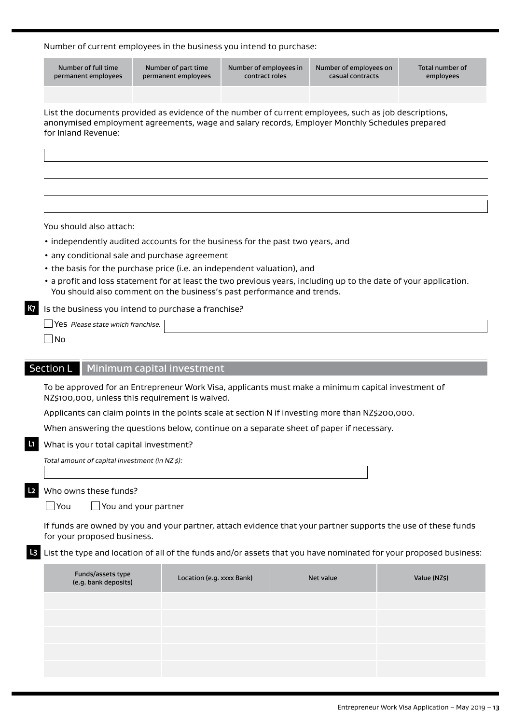## Number of current employees in the business you intend to purchase:

|    | Number of full time<br>permanent employees                                                                                                                                                                                     | Number of part time<br>permanent employees                                                                               | Number of employees in<br>contract roles | Number of employees on<br>casual contracts | Total number of<br>employees |  |  |
|----|--------------------------------------------------------------------------------------------------------------------------------------------------------------------------------------------------------------------------------|--------------------------------------------------------------------------------------------------------------------------|------------------------------------------|--------------------------------------------|------------------------------|--|--|
|    |                                                                                                                                                                                                                                |                                                                                                                          |                                          |                                            |                              |  |  |
|    | List the documents provided as evidence of the number of current employees, such as job descriptions,<br>anonymised employment agreements, wage and salary records, Employer Monthly Schedules prepared<br>for Inland Revenue: |                                                                                                                          |                                          |                                            |                              |  |  |
|    |                                                                                                                                                                                                                                |                                                                                                                          |                                          |                                            |                              |  |  |
|    |                                                                                                                                                                                                                                |                                                                                                                          |                                          |                                            |                              |  |  |
|    | You should also attach:                                                                                                                                                                                                        |                                                                                                                          |                                          |                                            |                              |  |  |
|    |                                                                                                                                                                                                                                | • independently audited accounts for the business for the past two years, and                                            |                                          |                                            |                              |  |  |
|    |                                                                                                                                                                                                                                | • any conditional sale and purchase agreement<br>• the basis for the purchase price (i.e. an independent valuation), and |                                          |                                            |                              |  |  |
|    |                                                                                                                                                                                                                                | • a profit and loss statement for at least the two previous years, including up to the date of your application.         |                                          |                                            |                              |  |  |
|    |                                                                                                                                                                                                                                | You should also comment on the business's past performance and trends.                                                   |                                          |                                            |                              |  |  |
| К7 | Is the business you intend to purchase a franchise?                                                                                                                                                                            |                                                                                                                          |                                          |                                            |                              |  |  |
|    | Yes Please state which franchise.                                                                                                                                                                                              |                                                                                                                          |                                          |                                            |                              |  |  |
|    | ∫No                                                                                                                                                                                                                            |                                                                                                                          |                                          |                                            |                              |  |  |
|    |                                                                                                                                                                                                                                |                                                                                                                          |                                          |                                            |                              |  |  |
|    | <b>Section L</b>                                                                                                                                                                                                               | Minimum capital investment                                                                                               |                                          |                                            |                              |  |  |
|    | To be approved for an Entrepreneur Work Visa, applicants must make a minimum capital investment of<br>NZ\$100,000, unless this requirement is waived.                                                                          |                                                                                                                          |                                          |                                            |                              |  |  |
|    | Applicants can claim points in the points scale at section N if investing more than NZ\$200,000.                                                                                                                               |                                                                                                                          |                                          |                                            |                              |  |  |
|    | When answering the questions below, continue on a separate sheet of paper if necessary.                                                                                                                                        |                                                                                                                          |                                          |                                            |                              |  |  |
|    | What is your total capital investment?                                                                                                                                                                                         |                                                                                                                          |                                          |                                            |                              |  |  |
|    | Total amount of capital investment (in NZ \$):                                                                                                                                                                                 |                                                                                                                          |                                          |                                            |                              |  |  |
|    |                                                                                                                                                                                                                                |                                                                                                                          |                                          |                                            |                              |  |  |
| L2 | Who owns these funds?                                                                                                                                                                                                          |                                                                                                                          |                                          |                                            |                              |  |  |
|    | $\Box$ You                                                                                                                                                                                                                     | $\Box$ You and your partner                                                                                              |                                          |                                            |                              |  |  |
|    | If funds are owned by you and your partner, attach evidence that your partner supports the use of these funds<br>for your proposed business.                                                                                   |                                                                                                                          |                                          |                                            |                              |  |  |
|    | <b>B</b> List the type and location of all of the funds and/or assets that you have nominated for your proposed business:                                                                                                      |                                                                                                                          |                                          |                                            |                              |  |  |
|    | Funds/assets type<br>(e.g. bank deposits)                                                                                                                                                                                      | Location (e.g. xxxx Bank)                                                                                                |                                          | Net value                                  | Value (NZ\$)                 |  |  |
|    |                                                                                                                                                                                                                                |                                                                                                                          |                                          |                                            |                              |  |  |
|    |                                                                                                                                                                                                                                |                                                                                                                          |                                          |                                            |                              |  |  |
|    |                                                                                                                                                                                                                                |                                                                                                                          |                                          |                                            |                              |  |  |
|    |                                                                                                                                                                                                                                |                                                                                                                          |                                          |                                            |                              |  |  |
|    |                                                                                                                                                                                                                                |                                                                                                                          |                                          |                                            |                              |  |  |
|    |                                                                                                                                                                                                                                |                                                                                                                          |                                          |                                            |                              |  |  |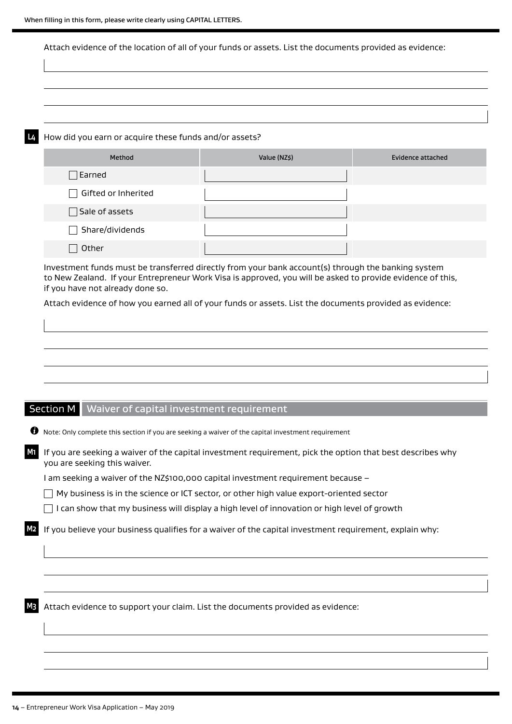Attach evidence of the location of all of your funds or assets. List the documents provided as evidence:

**L4** How did you earn or acquire these funds and/or assets?

| Method                 | Value (NZ\$) | Evidence attached |
|------------------------|--------------|-------------------|
| $\Box$ Earned          |              |                   |
| Gifted or Inherited    |              |                   |
| $\Box$ Sale of assets  |              |                   |
| $\Box$ Share/dividends |              |                   |
| Other                  |              |                   |

Investment funds must be transferred directly from your bank account(s) through the banking system to New Zealand. If your Entrepreneur Work Visa is approved, you will be asked to provide evidence of this, if you have not already done so.

Attach evidence of how you earned all of your funds or assets. List the documents provided as evidence:

## Section M Waiver of capital investment requirement

| Ø  | Note: Only complete this section if you are seeking a waiver of the capital investment requirement                                         |
|----|--------------------------------------------------------------------------------------------------------------------------------------------|
| M1 | If you are seeking a waiver of the capital investment requirement, pick the option that best describes why<br>you are seeking this waiver. |
|    | l am seeking a waiver of the NZ\$100,000 capital investment requirement because –                                                          |
|    | My business is in the science or ICT sector, or other high value export-oriented sector                                                    |
|    | can show that my business will display a high level of innovation or high level of growth                                                  |
|    | If you believe your business qualifies for a waiver of the capital investment requirement, explain why:                                    |
|    |                                                                                                                                            |
|    |                                                                                                                                            |
|    | Attach evidence to support your claim. List the documents provided as evidence:                                                            |
|    |                                                                                                                                            |
|    |                                                                                                                                            |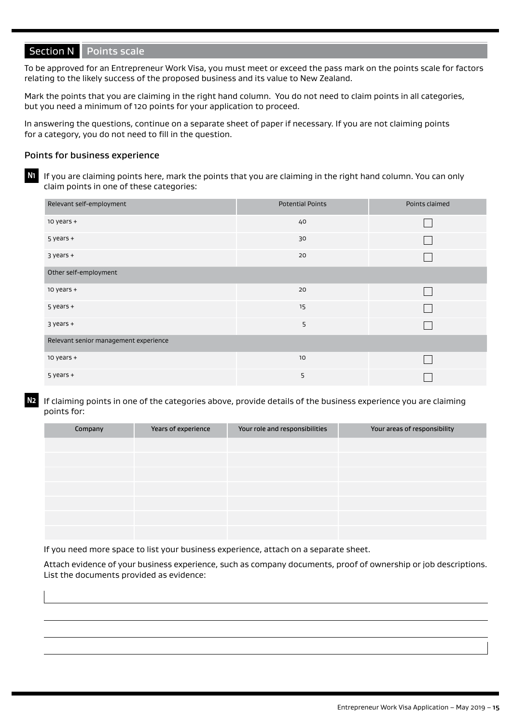## Section N Points scale

To be approved for an Entrepreneur Work Visa, you must meet or exceed the pass mark on the points scale for factors relating to the likely success of the proposed business and its value to New Zealand.

Mark the points that you are claiming in the right hand column. You do not need to claim points in all categories, but you need a minimum of 120 points for your application to proceed.

In answering the questions, continue on a separate sheet of paper if necessary. If you are not claiming points for a category, you do not need to fill in the question.

#### Points for business experience

**N1** If you are claiming points here, mark the points that you are claiming in the right hand column. You can only claim points in one of these categories:

| Relevant self-employment              | <b>Potential Points</b> | Points claimed |  |  |
|---------------------------------------|-------------------------|----------------|--|--|
| $10$ years $+$                        | 40                      |                |  |  |
| $5$ years $+$                         | 30                      |                |  |  |
| $3$ years $+$                         | 20                      |                |  |  |
| Other self-employment                 |                         |                |  |  |
| $10$ years $+$                        | 20                      |                |  |  |
| $5$ years $+$                         | 15                      |                |  |  |
| $3$ years $+$                         | 5                       |                |  |  |
| Relevant senior management experience |                         |                |  |  |
| $10$ years $+$                        | 10                      |                |  |  |
| $5$ years $+$                         | 5                       |                |  |  |

**N2** If claiming points in one of the categories above, provide details of the business experience you are claiming points for:

| Company | Years of experience | Your role and responsibilities | Your areas of responsibility |
|---------|---------------------|--------------------------------|------------------------------|
|         |                     |                                |                              |
|         |                     |                                |                              |
|         |                     |                                |                              |
|         |                     |                                |                              |
|         |                     |                                |                              |
|         |                     |                                |                              |
|         |                     |                                |                              |

If you need more space to list your business experience, attach on a separate sheet.

Attach evidence of your business experience, such as company documents, proof of ownership or job descriptions. List the documents provided as evidence: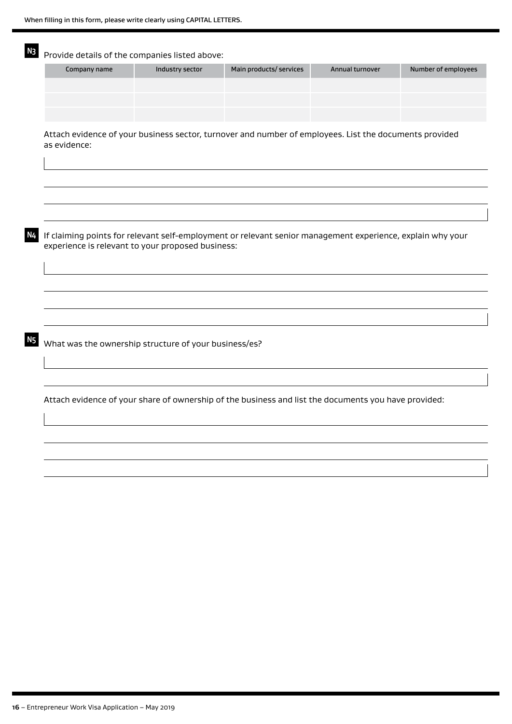| Company name | Industry sector                                       | Main products/ services                                                                                    | Annual turnover | Number of employees |
|--------------|-------------------------------------------------------|------------------------------------------------------------------------------------------------------------|-----------------|---------------------|
|              |                                                       |                                                                                                            |                 |                     |
|              |                                                       |                                                                                                            |                 |                     |
|              |                                                       |                                                                                                            |                 |                     |
| as evidence: |                                                       | Attach evidence of your business sector, turnover and number of employees. List the documents provided     |                 |                     |
|              |                                                       |                                                                                                            |                 |                     |
|              |                                                       |                                                                                                            |                 |                     |
|              | experience is relevant to your proposed business:     | If claiming points for relevant self-employment or relevant senior management experience, explain why your |                 |                     |
|              |                                                       |                                                                                                            |                 |                     |
|              |                                                       |                                                                                                            |                 |                     |
|              |                                                       |                                                                                                            |                 |                     |
|              |                                                       |                                                                                                            |                 |                     |
|              | What was the ownership structure of your business/es? |                                                                                                            |                 |                     |
|              |                                                       |                                                                                                            |                 |                     |
|              |                                                       |                                                                                                            |                 |                     |
|              |                                                       | Attach evidence of your share of ownership of the business and list the documents you have provided:       |                 |                     |
|              |                                                       |                                                                                                            |                 |                     |
|              |                                                       |                                                                                                            |                 |                     |
|              |                                                       |                                                                                                            |                 |                     |
|              |                                                       |                                                                                                            |                 |                     |
|              |                                                       |                                                                                                            |                 |                     |
|              |                                                       |                                                                                                            |                 |                     |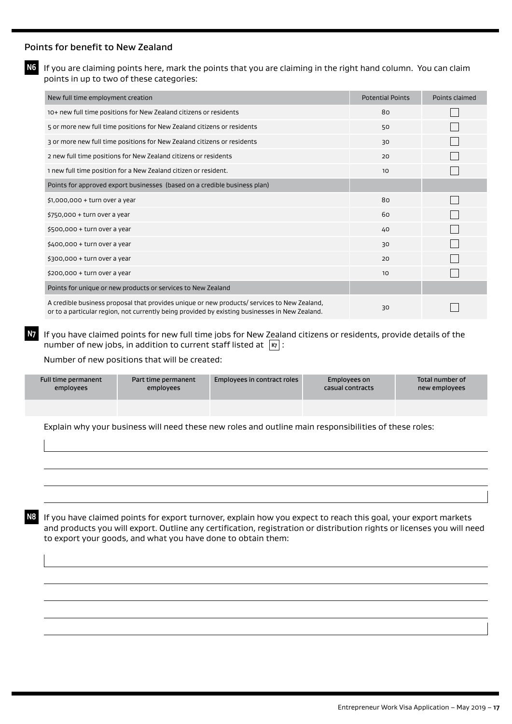#### Points for benefit to New Zealand

**N6** If you are claiming points here, mark the points that you are claiming in the right hand column. You can claim points in up to two of these categories:

| New full time employment creation                                                                                                                                                             | <b>Potential Points</b> | Points claimed |
|-----------------------------------------------------------------------------------------------------------------------------------------------------------------------------------------------|-------------------------|----------------|
| 10+ new full time positions for New Zealand citizens or residents                                                                                                                             | 80                      |                |
| 5 or more new full time positions for New Zealand citizens or residents                                                                                                                       | 50                      |                |
| 3 or more new full time positions for New Zealand citizens or residents                                                                                                                       | 30                      |                |
| 2 new full time positions for New Zealand citizens or residents                                                                                                                               | 20                      |                |
| 1 new full time position for a New Zealand citizen or resident.                                                                                                                               | 10 <sup>°</sup>         |                |
| Points for approved export businesses (based on a credible business plan)                                                                                                                     |                         |                |
| $$1,000,000 + turn over a year$                                                                                                                                                               | 80                      |                |
| $$750,000 + turn over a year$                                                                                                                                                                 | 60                      |                |
| $$500,000 + turn over a year$                                                                                                                                                                 | 40                      |                |
| $$400,000 + turn over a year$                                                                                                                                                                 | 30                      |                |
| $$300,000 + turn over a year$                                                                                                                                                                 | 20                      |                |
| $$200,000 + turn over a year$                                                                                                                                                                 | 10                      |                |
| Points for unique or new products or services to New Zealand                                                                                                                                  |                         |                |
| A credible business proposal that provides unique or new products/ services to New Zealand,<br>or to a particular region, not currently being provided by existing businesses in New Zealand. | 30                      |                |

**N7** If you have claimed points for new full time jobs for New Zealand citizens or residents, provide details of the number of new jobs, in addition to current staff listed at  $|\kappa_7|$ :

Number of new positions that will be created:

| Full time permanent | Part time permanent | Employees in contract roles | Employees on     | Total number of |
|---------------------|---------------------|-----------------------------|------------------|-----------------|
| employees           | employees           |                             | casual contracts | new employees   |
|                     |                     |                             |                  |                 |

Explain why your business will need these new roles and outline main responsibilities of these roles:

**N8** If you have claimed points for export turnover, explain how you expect to reach this goal, your export markets and products you will export. Outline any certification, registration or distribution rights or licenses you will need to export your goods, and what you have done to obtain them: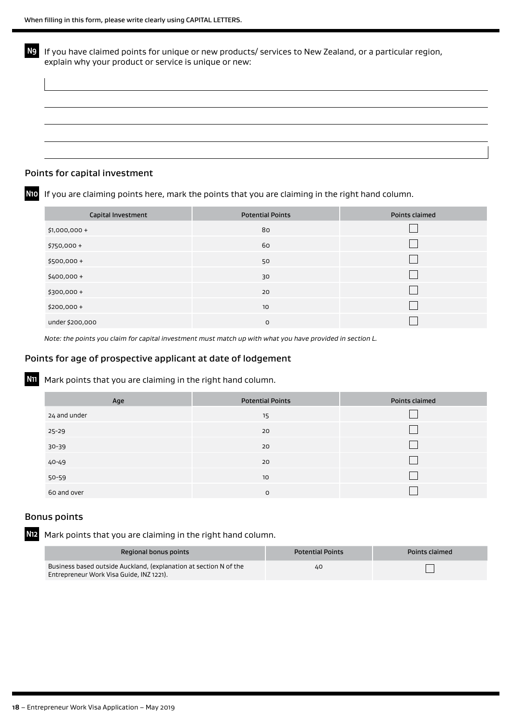**N9** If you have claimed points for unique or new products/ services to New Zealand, or a particular region, explain why your product or service is unique or new:

#### Points for capital investment

**N10** If you are claiming points here, mark the points that you are claiming in the right hand column.

| Capital Investment | <b>Potential Points</b> | Points claimed |
|--------------------|-------------------------|----------------|
| \$1,000,000 +      | 80                      |                |
| $$750,000+$        | 60                      |                |
| $$500,000 +$       | 50                      |                |
| $$400,000+$        | 30                      |                |
| $$300,000 +$       | 20                      |                |
| $$200,000+$        | 10                      |                |
| under \$200,000    | O                       |                |

*Note: the points you claim for capital investment must match up with what you have provided in section L.*

#### Points for age of prospective applicant at date of lodgement

**N11** Mark points that you are claiming in the right hand column.

| Age          | <b>Potential Points</b> | Points claimed |
|--------------|-------------------------|----------------|
| 24 and under | 15                      |                |
| 25-29        | 20                      |                |
| 30-39        | 20                      |                |
| 40-49        | 20                      |                |
| $50 - 59$    | 10                      |                |
| 60 and over  | 0                       |                |

#### Bonus points

**N12** Mark points that you are claiming in the right hand column.

| Regional bonus points                                                                                         | <b>Potential Points</b> | Points claimed |
|---------------------------------------------------------------------------------------------------------------|-------------------------|----------------|
| Business based outside Auckland, (explanation at section N of the<br>Entrepreneur Work Visa Guide, INZ 1221). | 40                      |                |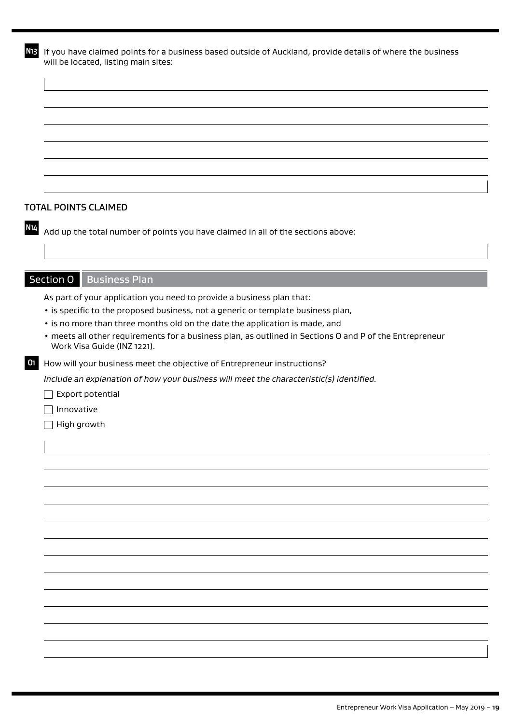**N13** If you have claimed points for a business based outside of Auckland, provide details of where the business will be located, listing main sites:

#### TOTAL POINTS CLAIMED

**N14** Add up the total number of points you have claimed in all of the sections above:

## Section O Business Plan

As part of your application you need to provide a business plan that:

- is specific to the proposed business, not a generic or template business plan,
- is no more than three months old on the date the application is made, and
- meets all other requirements for a business plan, as outlined in Sections O and P of the Entrepreneur Work Visa Guide (INZ 1221).
- **O1** How will your business meet the objective of Entrepreneur instructions?

*Include an explanation of how your business will meet the characteristic(s) identified.*

 $\Box$  Export potential

 $\Box$  Innovative

 $\Box$  High growth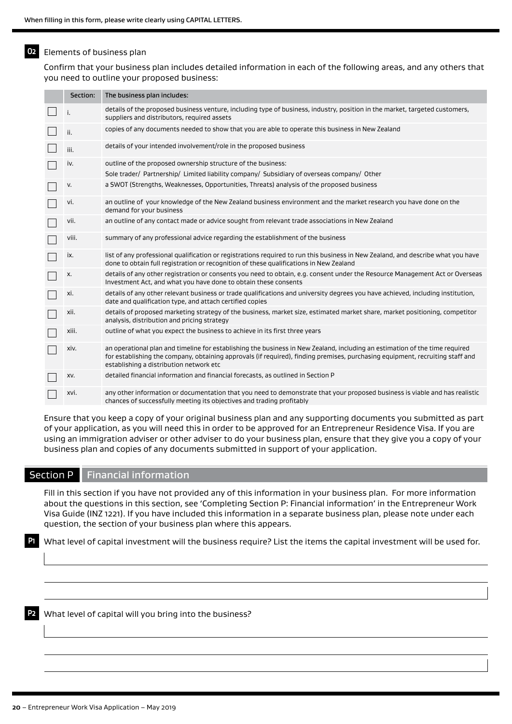## **O2** Elements of business plan

Confirm that your business plan includes detailed information in each of the following areas, and any others that you need to outline your proposed business:

| Section: | The business plan includes:                                                                                                                                                                                                                                                                             |
|----------|---------------------------------------------------------------------------------------------------------------------------------------------------------------------------------------------------------------------------------------------------------------------------------------------------------|
|          | details of the proposed business venture, including type of business, industry, position in the market, targeted customers,<br>suppliers and distributors, required assets                                                                                                                              |
| ii.      | copies of any documents needed to show that you are able to operate this business in New Zealand                                                                                                                                                                                                        |
| iii.     | details of your intended involvement/role in the proposed business                                                                                                                                                                                                                                      |
| iv.      | outline of the proposed ownership structure of the business:<br>Sole trader/ Partnership/ Limited liability company/ Subsidiary of overseas company/ Other                                                                                                                                              |
| v.       | a SWOT (Strengths, Weaknesses, Opportunities, Threats) analysis of the proposed business                                                                                                                                                                                                                |
| vi.      | an outline of your knowledge of the New Zealand business environment and the market research you have done on the<br>demand for your business                                                                                                                                                           |
| vii.     | an outline of any contact made or advice sought from relevant trade associations in New Zealand                                                                                                                                                                                                         |
| viii.    | summary of any professional advice regarding the establishment of the business                                                                                                                                                                                                                          |
| IX.      | list of any professional qualification or registrations required to run this business in New Zealand, and describe what you have<br>done to obtain full registration or recognition of these qualifications in New Zealand                                                                              |
| х.       | details of any other registration or consents you need to obtain, e.g. consent under the Resource Management Act or Overseas<br>Investment Act, and what you have done to obtain these consents                                                                                                         |
| xi.      | details of any other relevant business or trade qualifications and university degrees you have achieved, including institution,<br>date and qualification type, and attach certified copies                                                                                                             |
| xii.     | details of proposed marketing strategy of the business, market size, estimated market share, market positioning, competitor<br>analysis, distribution and pricing strategy                                                                                                                              |
| xiii.    | outline of what you expect the business to achieve in its first three years                                                                                                                                                                                                                             |
| xiv.     | an operational plan and timeline for establishing the business in New Zealand, including an estimation of the time required<br>for establishing the company, obtaining approvals (if required), finding premises, purchasing equipment, recruiting staff and<br>establishing a distribution network etc |
| XV.      | detailed financial information and financial forecasts, as outlined in Section P                                                                                                                                                                                                                        |
| xvi.     | any other information or documentation that you need to demonstrate that your proposed business is viable and has realistic<br>chances of successfully meeting its objectives and trading profitably                                                                                                    |

Ensure that you keep a copy of your original business plan and any supporting documents you submitted as part of your application, as you will need this in order to be approved for an Entrepreneur Residence Visa. If you are using an immigration adviser or other adviser to do your business plan, ensure that they give you a copy of your business plan and copies of any documents submitted in support of your application.

#### Section P  $\parallel$  Financial information

Fill in this section if you have not provided any of this information in your business plan. For more information about the questions in this section, see 'Completing Section P: Financial information' in the Entrepreneur Work Visa Guide (INZ 1221). If you have included this information in a separate business plan, please note under each question, the section of your business plan where this appears.

**P1** What level of capital investment will the business require? List the items the capital investment will be used for.

**P2** What level of capital will you bring into the business?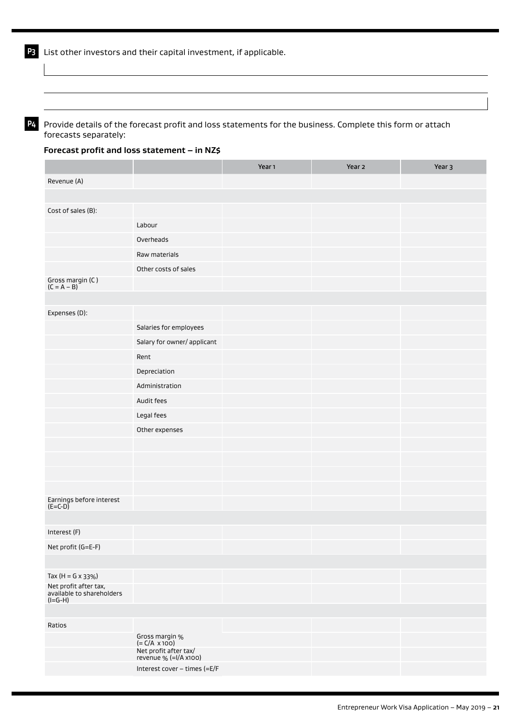**P4** Provide details of the forecast profit and loss statements for the business. Complete this form or attach forecasts separately:

#### **Forecast profit and loss statement – in NZ\$**

|                                                               |                                                | Year <sub>1</sub> | Year 2 | Year 3 |
|---------------------------------------------------------------|------------------------------------------------|-------------------|--------|--------|
| Revenue (A)                                                   |                                                |                   |        |        |
|                                                               |                                                |                   |        |        |
| Cost of sales (B):                                            |                                                |                   |        |        |
|                                                               | Labour                                         |                   |        |        |
|                                                               | Overheads                                      |                   |        |        |
|                                                               | Raw materials                                  |                   |        |        |
|                                                               | Other costs of sales                           |                   |        |        |
| Gross margin (C)<br>$(C = A - B)$                             |                                                |                   |        |        |
|                                                               |                                                |                   |        |        |
| Expenses (D):                                                 |                                                |                   |        |        |
|                                                               | Salaries for employees                         |                   |        |        |
|                                                               | Salary for owner/ applicant                    |                   |        |        |
|                                                               | Rent                                           |                   |        |        |
|                                                               | Depreciation                                   |                   |        |        |
|                                                               | Administration                                 |                   |        |        |
|                                                               | Audit fees                                     |                   |        |        |
|                                                               | Legal fees                                     |                   |        |        |
|                                                               | Other expenses                                 |                   |        |        |
|                                                               |                                                |                   |        |        |
|                                                               |                                                |                   |        |        |
|                                                               |                                                |                   |        |        |
|                                                               |                                                |                   |        |        |
| Earnings before interest<br>(E=C-D)                           |                                                |                   |        |        |
|                                                               |                                                |                   |        |        |
| Interest (F)                                                  |                                                |                   |        |        |
| Net profit (G=E-F)                                            |                                                |                   |        |        |
|                                                               |                                                |                   |        |        |
| Tax $(H = G \times 33\%)$                                     |                                                |                   |        |        |
| Net profit after tax,<br>available to shareholders<br>(I=G-H) |                                                |                   |        |        |
|                                                               |                                                |                   |        |        |
| Ratios                                                        |                                                |                   |        |        |
|                                                               | Gross margin $%$<br>(= C/A x 100)              |                   |        |        |
|                                                               | Net profit after tax/<br>revenue % (=I/A x100) |                   |        |        |
|                                                               | Interest cover - times (=E/F                   |                   |        |        |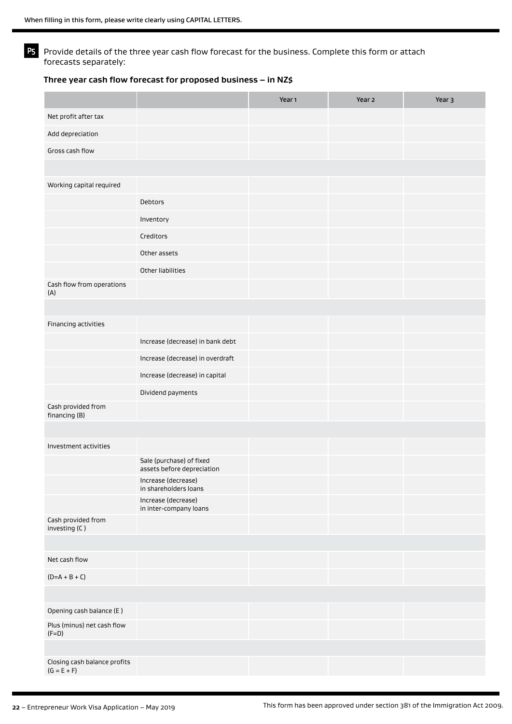**P5** Provide details of the three year cash flow forecast for the business. Complete this form or attach forecasts separately:

#### **Three year cash flow forecast for proposed business – in NZ\$**

|                                               |                                                        | Year <sub>1</sub> | Year 2 | Year 3 |
|-----------------------------------------------|--------------------------------------------------------|-------------------|--------|--------|
| Net profit after tax                          |                                                        |                   |        |        |
| Add depreciation                              |                                                        |                   |        |        |
| Gross cash flow                               |                                                        |                   |        |        |
|                                               |                                                        |                   |        |        |
| Working capital required                      |                                                        |                   |        |        |
|                                               | Debtors                                                |                   |        |        |
|                                               | Inventory                                              |                   |        |        |
|                                               | Creditors                                              |                   |        |        |
|                                               | Other assets                                           |                   |        |        |
|                                               | Other liabilities                                      |                   |        |        |
| Cash flow from operations<br>(A)              |                                                        |                   |        |        |
|                                               |                                                        |                   |        |        |
| Financing activities                          |                                                        |                   |        |        |
|                                               | Increase (decrease) in bank debt                       |                   |        |        |
|                                               | Increase (decrease) in overdraft                       |                   |        |        |
|                                               | Increase (decrease) in capital                         |                   |        |        |
|                                               | Dividend payments                                      |                   |        |        |
| Cash provided from<br>financing (B)           |                                                        |                   |        |        |
|                                               |                                                        |                   |        |        |
| Investment activities                         |                                                        |                   |        |        |
|                                               | Sale (purchase) of fixed<br>assets before depreciation |                   |        |        |
|                                               | Increase (decrease)<br>in shareholders loans           |                   |        |        |
|                                               | Increase (decrease)<br>in inter-company loans          |                   |        |        |
| Cash provided from<br>investing (C)           |                                                        |                   |        |        |
|                                               |                                                        |                   |        |        |
| Net cash flow                                 |                                                        |                   |        |        |
| $(D=A+B+C)$                                   |                                                        |                   |        |        |
|                                               |                                                        |                   |        |        |
| Opening cash balance (E)                      |                                                        |                   |        |        |
| Plus (minus) net cash flow<br>$(F=D)$         |                                                        |                   |        |        |
|                                               |                                                        |                   |        |        |
| Closing cash balance profits<br>$(G = E + F)$ |                                                        |                   |        |        |
|                                               |                                                        |                   |        |        |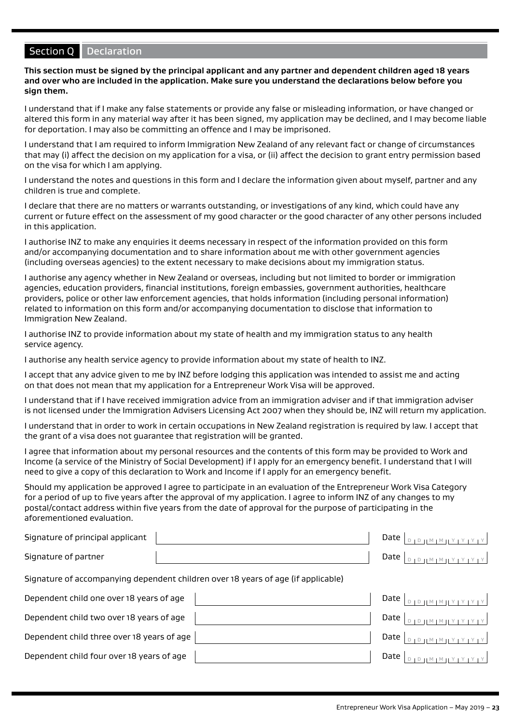## Section Q Declaration

**This section must be signed by the principal applicant and any partner and dependent children aged 18 years and over who are included in the application. Make sure you understand the declarations below before you sign them.**

I understand that if I make any false statements or provide any false or misleading information, or have changed or altered this form in any material way after it has been signed, my application may be declined, and I may become liable for deportation. I may also be committing an offence and I may be imprisoned.

I understand that I am required to inform Immigration New Zealand of any relevant fact or change of circumstances that may (i) affect the decision on my application for a visa, or (ii) affect the decision to grant entry permission based on the visa for which I am applying.

I understand the notes and questions in this form and I declare the information given about myself, partner and any children is true and complete.

I declare that there are no matters or warrants outstanding, or investigations of any kind, which could have any current or future effect on the assessment of my good character or the good character of any other persons included in this application.

I authorise INZ to make any enquiries it deems necessary in respect of the information provided on this form and/or accompanying documentation and to share information about me with other government agencies (including overseas agencies) to the extent necessary to make decisions about my immigration status.

I authorise any agency whether in New Zealand or overseas, including but not limited to border or immigration agencies, education providers, financial institutions, foreign embassies, government authorities, healthcare providers, police or other law enforcement agencies, that holds information (including personal information) related to information on this form and/or accompanying documentation to disclose that information to Immigration New Zealand.

I authorise INZ to provide information about my state of health and my immigration status to any health service agency.

I authorise any health service agency to provide information about my state of health to INZ.

I accept that any advice given to me by INZ before lodging this application was intended to assist me and acting on that does not mean that my application for a Entrepreneur Work Visa will be approved.

I understand that if I have received immigration advice from an immigration adviser and if that immigration adviser is not licensed under the Immigration Advisers Licensing Act 2007 when they should be, INZ will return my application.

I understand that in order to work in certain occupations in New Zealand registration is required by law. I accept that the grant of a visa does not guarantee that registration will be granted.

I agree that information about my personal resources and the contents of this form may be provided to Work and Income (a service of the Ministry of Social Development) if I apply for an emergency benefit. I understand that I will need to give a copy of this declaration to Work and Income if I apply for an emergency benefit.

Should my application be approved I agree to participate in an evaluation of the Entrepreneur Work Visa Category for a period of up to five years after the approval of my application. I agree to inform INZ of any changes to my postal/contact address within five years from the date of approval for the purpose of participating in the aforementioned evaluation.

| Signature of principal applicant | Date $ $ |                    |
|----------------------------------|----------|--------------------|
| Signature of partner             | Date $ $ | $0101M1M1Y1Y1Y1Y1$ |

Signature of accompanying dependent children over 18 years of age (if applicable)

Dependent child one over 18 years of age  $\Box$  Dependent child one over 18 years of age  $\Box$ 

Dependent child two over 18 years of age Date <sup>D</sup> <sup>D</sup> <sup>M</sup> <sup>M</sup> <sup>Y</sup> <sup>Y</sup> <sup>Y</sup> <sup>Y</sup>

Dependent child three over 18 years of age Date <sup>D</sup> <sup>D</sup> <sup>M</sup> <sup>M</sup> <sup>Y</sup> <sup>Y</sup> <sup>Y</sup> <sup>Y</sup>

Dependent child four over 18 years of age Date <sup>D</sup> <sup>D</sup> <sup>M</sup> <sup>M</sup> <sup>Y</sup> <sup>Y</sup> <sup>Y</sup> <sup>Y</sup>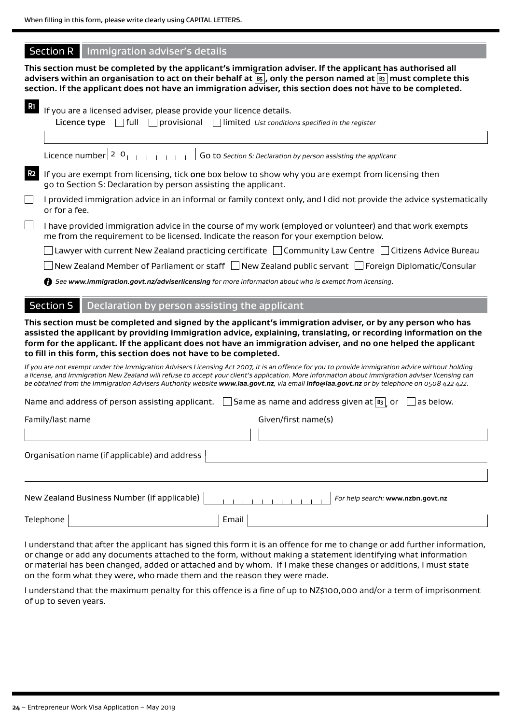## Section R Immigration adviser's details

**This section must be completed by the applicant's immigration adviser. If the applicant has authorised all advisers within an organisation to act on their behalf at B5 , only the person named at B3 must complete this section. If the applicant does not have an immigration adviser, this section does not have to be completed.**

| R <sub>1</sub> | If you are a licensed adviser, please provide your licence details.<br>Licence type $\Box$ full<br>$\Box$ provisional<br>Imited List conditions specified in the register                                                                                                                                                                                                                                                                                      |
|----------------|----------------------------------------------------------------------------------------------------------------------------------------------------------------------------------------------------------------------------------------------------------------------------------------------------------------------------------------------------------------------------------------------------------------------------------------------------------------|
|                | Licence number $2_1 0_{1}$<br>Go to Section S: Declaration by person assisting the applicant                                                                                                                                                                                                                                                                                                                                                                   |
| R <sub>2</sub> | If you are exempt from licensing, tick one box below to show why you are exempt from licensing then<br>go to Section S: Declaration by person assisting the applicant.                                                                                                                                                                                                                                                                                         |
| $\Box$         | I provided immigration advice in an informal or family context only, and I did not provide the advice systematically<br>or for a fee.                                                                                                                                                                                                                                                                                                                          |
| $\Box$         | I have provided immigration advice in the course of my work (employed or volunteer) and that work exempts<br>me from the requirement to be licensed. Indicate the reason for your exemption below.                                                                                                                                                                                                                                                             |
|                | Lawyer with current New Zealand practicing certificate $\Box$ Community Law Centre $\Box$ Citizens Advice Bureau                                                                                                                                                                                                                                                                                                                                               |
|                | $\perp$ New Zealand Member of Parliament or staff $\, \Box$ New Zealand public servant $\, \Box$ Foreign Diplomatic/Consular                                                                                                                                                                                                                                                                                                                                   |
|                | See www.immigration.govt.nz/adviserlicensing for more information about who is exempt from licensing.                                                                                                                                                                                                                                                                                                                                                          |
|                | <b>Section S</b><br>Declaration by person assisting the applicant                                                                                                                                                                                                                                                                                                                                                                                              |
|                | This section must be completed and signed by the applicant's immigration adviser, or by any person who has<br>assisted the applicant by providing immigration advice, explaining, translating, or recording information on the<br>form for the applicant. If the applicant does not have an immigration adviser, and no one helped the applicant<br>to fill in this form, this section does not have to be completed.                                          |
|                | If you are not exempt under the Immigration Advisers Licensing Act 2007, it is an offence for you to provide immigration advice without holding<br>a license, and Immigration New Zealand will refuse to accept your client's application. More information about immigration adviser licensing can<br>be obtained from the Immigration Advisers Authority website <b>www.iaa.govt.nz</b> , via email <b>info@iaa.govt.nz</b> or by telephone on 0508 422 422. |
|                | Name and address of person assisting applicant. $\Box$ Same as name and address given at $\boxed{\mathbf{s}}$ or<br>as below.                                                                                                                                                                                                                                                                                                                                  |
|                | Given/first name(s)<br>Family/last name                                                                                                                                                                                                                                                                                                                                                                                                                        |
|                |                                                                                                                                                                                                                                                                                                                                                                                                                                                                |
|                | Organisation name (if applicable) and address                                                                                                                                                                                                                                                                                                                                                                                                                  |
|                |                                                                                                                                                                                                                                                                                                                                                                                                                                                                |
|                | New Zealand Business Number (if applicable)<br>For help search: www.nzbn.govt.nz<br>111111111                                                                                                                                                                                                                                                                                                                                                                  |

Telephone | Email

I understand that after the applicant has signed this form it is an offence for me to change or add further information, or change or add any documents attached to the form, without making a statement identifying what information or material has been changed, added or attached and by whom. If I make these changes or additions, I must state on the form what they were, who made them and the reason they were made.

I understand that the maximum penalty for this offence is a fine of up to NZ\$100,000 and/or a term of imprisonment of up to seven years.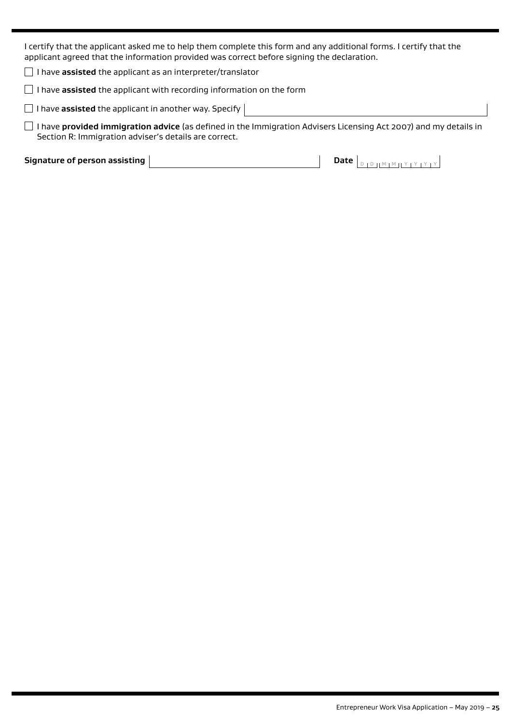I certify that the applicant asked me to help them complete this form and any additional forms. I certify that the applicant agreed that the information provided was correct before signing the declaration.

I have **assisted** the applicant as an interpreter/translator

I have **assisted** the applicant with recording information on the form

 $\Box$  I have **assisted** the applicant in another way. Specify

 I have **provided immigration advice** (as defined in the Immigration Advisers Licensing Act 2007) and my details in Section R: Immigration adviser's details are correct.

**Signature of person assisting**  $\boxed{\phantom{a}$  **Date**  $\boxed{\phantom{a}$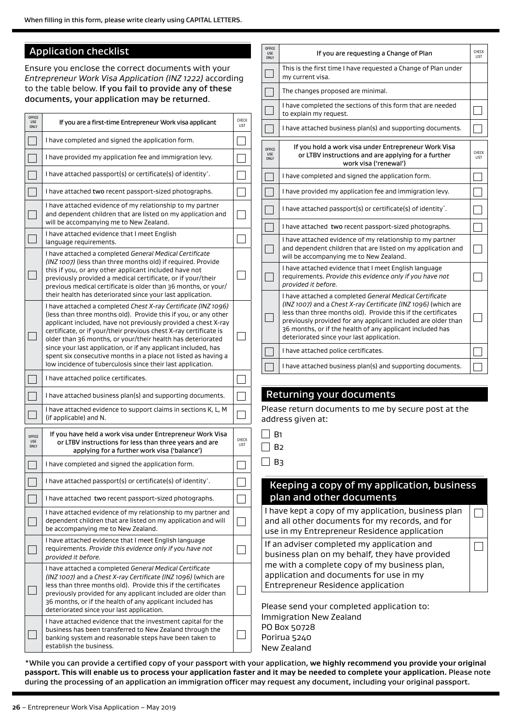## Application checklist

Ensure you enclose the correct documents with your *Entrepreneur Work Visa Application (INZ 1222)* according to the table below. If you fail to provide any of these documents, your application may be returned.

| <b>OFFICE</b><br><b>USE</b>                | If you are a first-time Entrepreneur Work visa applicant                                                                                                                                                                                                                                                                                                                                                                                                                                                                                   | CHECK                |
|--------------------------------------------|--------------------------------------------------------------------------------------------------------------------------------------------------------------------------------------------------------------------------------------------------------------------------------------------------------------------------------------------------------------------------------------------------------------------------------------------------------------------------------------------------------------------------------------------|----------------------|
| ONLY                                       |                                                                                                                                                                                                                                                                                                                                                                                                                                                                                                                                            | LIST                 |
|                                            | I have completed and signed the application form.                                                                                                                                                                                                                                                                                                                                                                                                                                                                                          |                      |
|                                            | I have provided my application fee and immigration levy.                                                                                                                                                                                                                                                                                                                                                                                                                                                                                   |                      |
|                                            | I have attached passport(s) or certificate(s) of identity.                                                                                                                                                                                                                                                                                                                                                                                                                                                                                 |                      |
|                                            | I have attached two recent passport-sized photographs.                                                                                                                                                                                                                                                                                                                                                                                                                                                                                     |                      |
|                                            | I have attached evidence of my relationship to my partner<br>and dependent children that are listed on my application and<br>will be accompanying me to New Zealand.                                                                                                                                                                                                                                                                                                                                                                       |                      |
|                                            | I have attached evidence that I meet English<br>language requirements.                                                                                                                                                                                                                                                                                                                                                                                                                                                                     |                      |
|                                            | I have attached a completed General Medical Certificate<br>(INZ 1007) (less than three months old) if required. Provide<br>this if you, or any other applicant included have not<br>previously provided a medical certificate, or if your/their<br>previous medical certificate is older than 36 months, or your/<br>their health has deteriorated since your last application.                                                                                                                                                            |                      |
|                                            | I have attached a completed Chest X-ray Certificate (INZ 1096)<br>(less than three months old). Provide this if you, or any other<br>applicant included, have not previously provided a chest X-ray<br>certificate, or if your/their previous chest X-ray certificate is<br>older than 36 months, or your/their health has deteriorated<br>since your last application, or if any applicant included, has<br>spent six consecutive months in a place not listed as having a<br>low incidence of tuberculosis since their last application. |                      |
|                                            | I have attached police certificates.                                                                                                                                                                                                                                                                                                                                                                                                                                                                                                       |                      |
|                                            | I have attached business plan(s) and supporting documents.                                                                                                                                                                                                                                                                                                                                                                                                                                                                                 |                      |
|                                            | I have attached evidence to support claims in sections K, L, M<br>(if applicable) and N.                                                                                                                                                                                                                                                                                                                                                                                                                                                   |                      |
| <b>OFFICE</b><br><b>USE</b><br><b>ONLY</b> | If you have held a work visa under Entrepreneur Work Visa<br>or LTBV instructions for less than three years and are<br>applying for a further work visa ('balance')                                                                                                                                                                                                                                                                                                                                                                        | <b>CHECK</b><br>LIST |
|                                            | I have completed and signed the application form.                                                                                                                                                                                                                                                                                                                                                                                                                                                                                          |                      |
|                                            | I have attached passport(s) or certificate(s) of identity <sup>*</sup> .                                                                                                                                                                                                                                                                                                                                                                                                                                                                   |                      |
|                                            | I have attached two recent passport-sized photographs.                                                                                                                                                                                                                                                                                                                                                                                                                                                                                     |                      |
|                                            | I have attached evidence of my relationship to my partner and<br>dependent children that are listed on my application and will<br>be accompanying me to New Zealand.                                                                                                                                                                                                                                                                                                                                                                       |                      |
|                                            | I have attached evidence that I meet English language<br>requirements. Provide this evidence only if you have not<br>provided it before.                                                                                                                                                                                                                                                                                                                                                                                                   |                      |
|                                            | I have attached a completed General Medical Certificate<br>(INZ 1007) and a Chest X-ray Certificate (INZ 1096) (which are<br>less than three months old). Provide this if the certificates<br>previously provided for any applicant included are older than<br>36 months, or if the health of any applicant included has<br>deteriorated since your last application.                                                                                                                                                                      |                      |
|                                            | I have attached evidence that the investment capital for the<br>business has been transferred to New Zealand through the<br>banking system and reasonable steps have been taken to<br>establish the business.                                                                                                                                                                                                                                                                                                                              |                      |

| <b>OFFICE</b><br><b>USE</b><br>ONLY | If you are requesting a Change of Plan                                                                                                                                                                                                                                                                                                                                | CHECK<br><b>IIST</b> |
|-------------------------------------|-----------------------------------------------------------------------------------------------------------------------------------------------------------------------------------------------------------------------------------------------------------------------------------------------------------------------------------------------------------------------|----------------------|
|                                     | This is the first time I have requested a Change of Plan under<br>my current visa.                                                                                                                                                                                                                                                                                    |                      |
|                                     | The changes proposed are minimal.                                                                                                                                                                                                                                                                                                                                     |                      |
|                                     | I have completed the sections of this form that are needed<br>to explain my request.                                                                                                                                                                                                                                                                                  |                      |
|                                     | I have attached business plan(s) and supporting documents.                                                                                                                                                                                                                                                                                                            |                      |
| OFFICE<br><b>USE</b><br>ONLY        | If you hold a work visa under Entrepreneur Work Visa<br>or LTBV instructions and are applying for a further<br>work visa ('renewal')                                                                                                                                                                                                                                  | CHECK<br><b>LIST</b> |
|                                     | I have completed and signed the application form.                                                                                                                                                                                                                                                                                                                     |                      |
|                                     | I have provided my application fee and immigration levy.                                                                                                                                                                                                                                                                                                              |                      |
|                                     | I have attached passport(s) or certificate(s) of identity <sup>*</sup> .                                                                                                                                                                                                                                                                                              |                      |
|                                     | I have attached two recent passport-sized photographs.                                                                                                                                                                                                                                                                                                                |                      |
|                                     | I have attached evidence of my relationship to my partner<br>and dependent children that are listed on my application and<br>will be accompanying me to New Zealand.                                                                                                                                                                                                  |                      |
|                                     | I have attached evidence that I meet English language<br>requirements. Provide this evidence only if you have not<br>provided it before.                                                                                                                                                                                                                              |                      |
|                                     | I have attached a completed General Medical Certificate<br>(INZ 1007) and a Chest X-ray Certificate (INZ 1096) (which are<br>less than three months old). Provide this if the certificates<br>previously provided for any applicant included are older than<br>36 months, or if the health of any applicant included has<br>deteriorated since your last application. |                      |
|                                     | I have attached police certificates.                                                                                                                                                                                                                                                                                                                                  |                      |
|                                     | I have attached business plan(s) and supporting documents.                                                                                                                                                                                                                                                                                                            |                      |

## Returning your documents

Please return documents to me by secure post at the address given at:

 $\Box$  B<sub>3</sub>

### Keeping a copy of my application, business plan and other documents

I have kept a copy of my application, business plan  $\Box$ and all other documents for my records, and for use in my Entrepreneur Residence application If an adviser completed my application and П business plan on my behalf, they have provided me with a complete copy of my business plan,

application and documents for use in my Entrepreneur Residence application

Please send your completed application to: Immigration New Zealand PO Box 50728 Porirua 5240 New Zealand

\*While you can provide a certified copy of your passport with your application, **we highly recommend you provide your original passport. This will enable us to process your application faster and it may be needed to complete your application.** Please note during the processing of an application an immigration officer may request any document, including your original passport.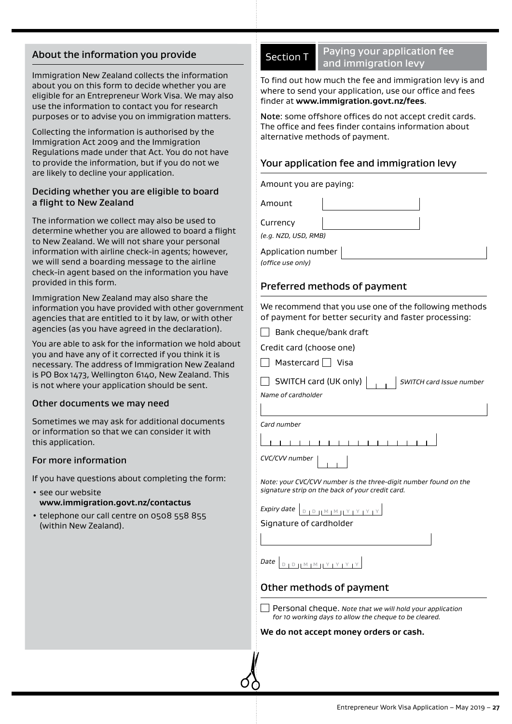## About the information you provide

Immigration New Zealand collects the information about you on this form to decide whether you are eligible for an Entrepreneur Work Visa. We may also use the information to contact you for research purposes or to advise you on immigration matters.

Collecting the information is authorised by the Immigration Act 2009 and the Immigration Regulations made under that Act. You do not have to provide the information, but if you do not we are likely to decline your application.

### Deciding whether you are eligible to board a flight to New Zealand

The information we collect may also be used to determine whether you are allowed to board a flight to New Zealand. We will not share your personal information with airline check-in agents; however, we will send a boarding message to the airline check-in agent based on the information you have provided in this form.

Immigration New Zealand may also share the information you have provided with other government agencies that are entitled to it by law, or with other agencies (as you have agreed in the declaration).

You are able to ask for the information we hold about you and have any of it corrected if you think it is necessary. The address of Immigration New Zealand is PO Box 1473, Wellington 6140, New Zealand. This is not where your application should be sent.

#### Other documents we may need

Sometimes we may ask for additional documents or information so that we can consider it with this application.

#### For more information

If you have questions about completing the form:

- see our website **www.immigration.govt.nz/contactus**
- telephone our call centre on 0508 558 855 (within New Zealand).

| С | tion |
|---|------|
|   |      |
|   |      |

## Paying your application fee and immigration levy

To find out how much the fee and immigration levy is and where to send your application, use our office and fees finder at **www.immigration.govt.nz/fees**.

Note: some offshore offices do not accept credit cards. The office and fees finder contains information about alternative methods of payment.

## Your application fee and immigration levy

Amount you are paying:

Amount Currency

*(e.g. NZD, USD, RMB)*

Application number *(office use only)*

## Preferred methods of payment

We recommend that you use one of the following methods of payment for better security and faster processing:

 $\Box$  Bank cheque/bank draft

Credit card (choose one)

 $\Box$  Mastercard  $\Box$  Visa

SWITCH card (UK only) *SWITCH card Issue number*

*Name of cardholder*

*Card number*

1 1 1 1 1 1 1 1 1 1 1 1 1 1 1 1

*CVC/CVV number*

*Note: your CVC/CVV number is the three-digit number found on the signature strip on the back of your credit card.*

*Expiry date*  $\left[ \begin{array}{c} D & D \end{array} \right]$   $\left[ \begin{array}{c} M \mid M \end{array} \right]$   $\left[ \begin{array}{c} Y \mid Y \end{array} \right]$ 

Signature of cardholder

 $\mathsf{Date}$  **D** D D M M H Y L Y L Y L Y

## Other methods of payment

Personal cheque. *Note that we will hold your application for 10 working days to allow the cheque to be cleared.*

**We do not accept money orders or cash.**